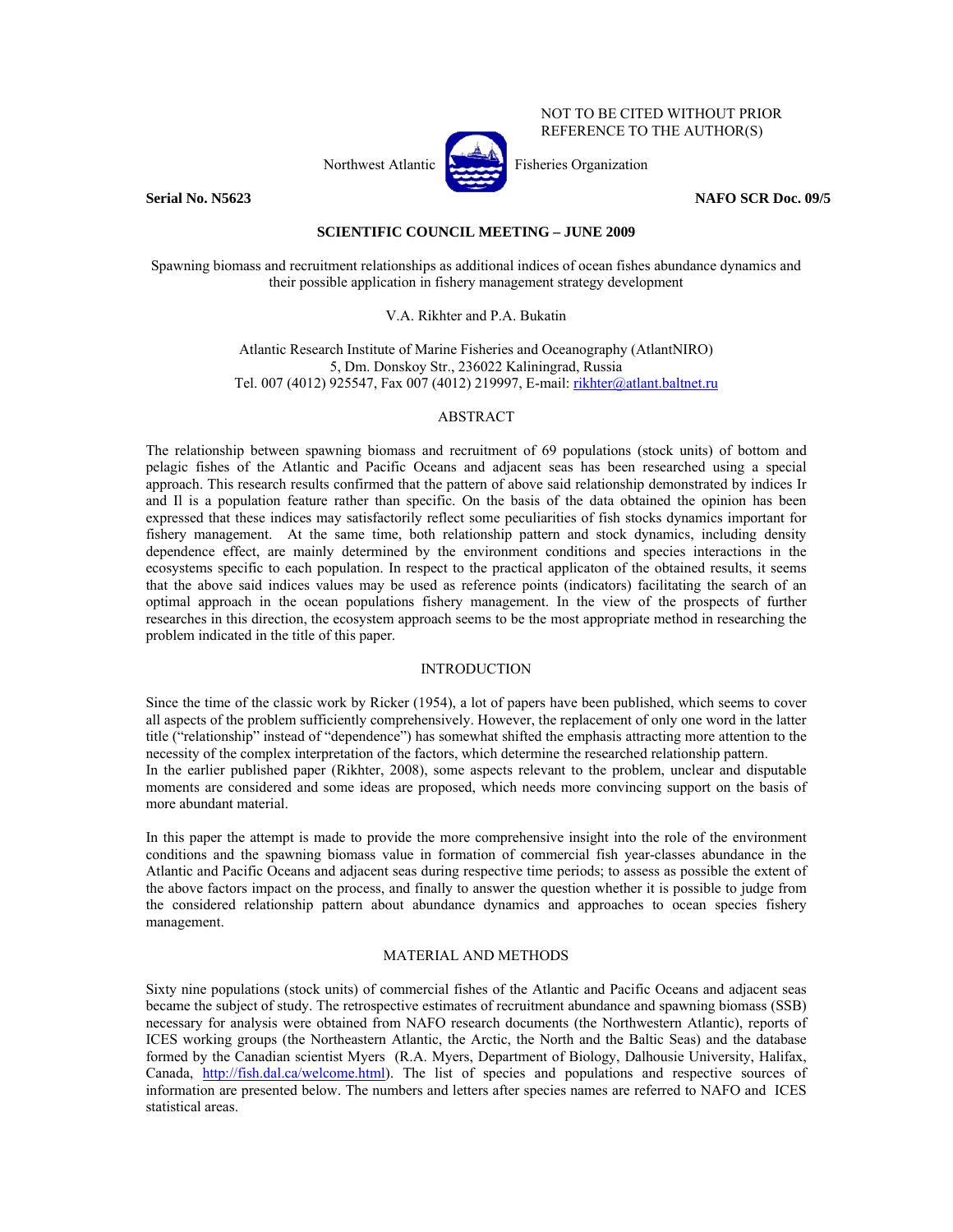NOT TO BE CITED WITHOUT PRIOR REFERENCE TO THE AUTHOR(S)

# Northwest Atlantic **Atlantic** Fisheries Organization

**Serial No. N5623** NAFO SCR Doc. 09/5

## **SCIENTIFIC COUNCIL MEETING – JUNE 2009**

Spawning biomass and recruitment relationships as additional indices of ocean fishes abundance dynamics and their possible application in fishery management strategy development

## V.A. Rikhter and P.A. Bukatin

Atlantic Research Institute of Marine Fisheries and Oceanography (AtlantNIRO) 5, Dm. Donskoy Str., 236022 Kaliningrad, Russia Tel. 007 (4012) 925547, Fax 007 (4012) 219997, E-mail: rikhter@atlant.baltnet.ru

### ABSTRACT

The relationship between spawning biomass and recruitment of 69 populations (stock units) of bottom and pelagic fishes of the Atlantic and Pacific Oceans and adjacent seas has been researched using a special approach. This research results confirmed that the pattern of above said relationship demonstrated by indices Ir and Il is a population feature rather than specific. On the basis of the data obtained the opinion has been expressed that these indices may satisfactorily reflect some peculiarities of fish stocks dynamics important for fishery management. At the same time, both relationship pattern and stock dynamics, including density dependence effect, are mainly determined by the environment conditions and species interactions in the ecosystems specific to each population. In respect to the practical applicaton of the obtained results, it seems that the above said indices values may be used as reference points (indicators) facilitating the search of an optimal approach in the ocean populations fishery management. In the view of the prospects of further researches in this direction, the ecosystem approach seems to be the most appropriate method in researching the problem indicated in the title of this paper.

#### INTRODUCTION

Since the time of the classic work by Ricker (1954), a lot of papers have been published, which seems to cover all aspects of the problem sufficiently comprehensively. However, the replacement of only one word in the latter title ("relationship" instead of "dependence") has somewhat shifted the emphasis attracting more attention to the necessity of the complex interpretation of the factors, which determine the researched relationship pattern. In the earlier published paper (Rikhter, 2008), some aspects relevant to the problem, unclear and disputable moments are considered and some ideas are proposed, which needs more convincing support on the basis of more abundant material.

In this paper the attempt is made to provide the more comprehensive insight into the role of the environment conditions and the spawning biomass value in formation of commercial fish year-classes abundance in the Atlantic and Pacific Oceans and adjacent seas during respective time periods; to assess as possible the extent of the above factors impact on the process, and finally to answer the question whether it is possible to judge from the considered relationship pattern about abundance dynamics and approaches to ocean species fishery management.

## MATERIAL AND METHODS

Sixty nine populations (stock units) of commercial fishes of the Atlantic and Pacific Oceans and adjacent seas became the subject of study. The retrospective estimates of recruitment abundance and spawning biomass (SSB) necessary for analysis were obtained from NAFO research documents (the Northwestern Atlantic), reports of ICES working groups (the Northeastern Atlantic, the Arctic, the North and the Baltic Seas) and the database formed by the Canadian scientist Myers (R.A. Myers, Department of Biology, Dalhousie University, Halifax, Canada, http://fish.dal.ca/welcome.html). The list of species and populations and respective sources of information are presented below. The numbers and letters after species names are referred to NAFO and ICES statistical areas.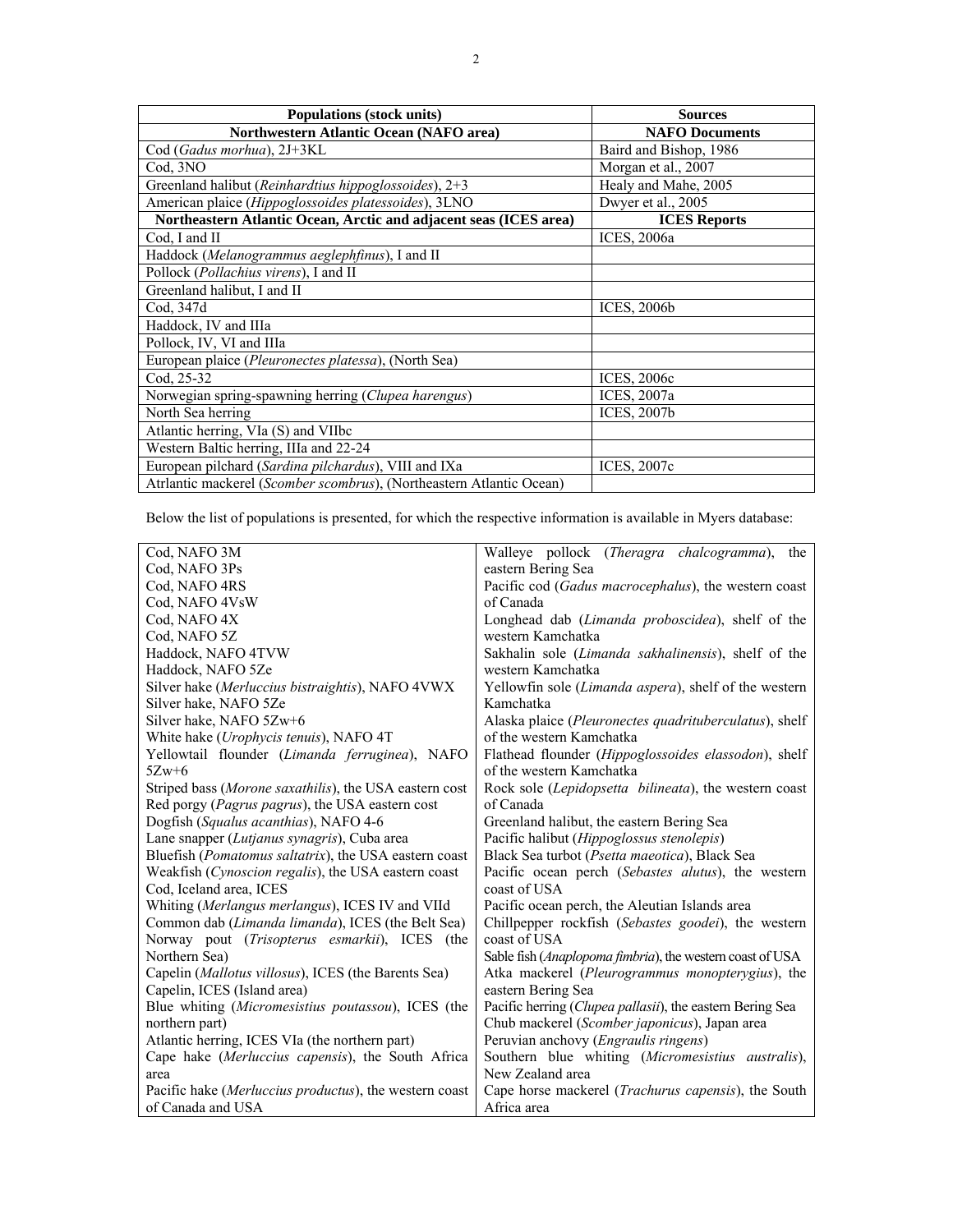| Populations (stock units)                                            | <b>Sources</b>         |
|----------------------------------------------------------------------|------------------------|
| <b>Northwestern Atlantic Ocean (NAFO area)</b>                       | <b>NAFO Documents</b>  |
| Cod (Gadus morhua), 2J+3KL                                           | Baird and Bishop, 1986 |
| Cod. 3NO                                                             | Morgan et al., 2007    |
| Greenland halibut (Reinhardtius hippoglossoides), 2+3                | Healy and Mahe, 2005   |
| American plaice (Hippoglossoides platessoides), 3LNO                 | Dwyer et al., 2005     |
| Northeastern Atlantic Ocean, Arctic and adjacent seas (ICES area)    | <b>ICES</b> Reports    |
| Cod, I and II                                                        | ICES, 2006a            |
| Haddock (Melanogrammus aeglephfinus), I and II                       |                        |
| Pollock (Pollachius virens), I and II                                |                        |
| Greenland halibut, I and II                                          |                        |
| Cod. 347d                                                            | <b>ICES, 2006b</b>     |
| Haddock, IV and IIIa                                                 |                        |
| Pollock, IV, VI and IIIa                                             |                        |
| European plaice (Pleuronectes platessa), (North Sea)                 |                        |
| Cod, 25-32                                                           | <b>ICES, 2006c</b>     |
| Norwegian spring-spawning herring (Clupea harengus)                  | ICES, 2007a            |
| North Sea herring                                                    | <b>ICES, 2007b</b>     |
| Atlantic herring, VIa (S) and VIIbc                                  |                        |
| Western Baltic herring, IIIa and 22-24                               |                        |
| European pilchard (Sardina pilchardus), VIII and IXa                 | <b>ICES, 2007c</b>     |
| Atriantic mackerel (Scomber scombrus), (Northeastern Atlantic Ocean) |                        |

Below the list of populations is presented, for which the respective information is available in Myers database:

| Cod, NAFO 3M                                                   | Walleye pollock ( <i>Theragra chalcogramma</i> ), the         |
|----------------------------------------------------------------|---------------------------------------------------------------|
| Cod, NAFO 3Ps                                                  | eastern Bering Sea                                            |
| Cod, NAFO 4RS                                                  | Pacific cod (Gadus macrocephalus), the western coast          |
| Cod, NAFO 4VsW                                                 | of Canada                                                     |
| Cod, NAFO 4X                                                   | Longhead dab (Limanda proboscidea), shelf of the              |
| Cod, NAFO 5Z                                                   | western Kamchatka                                             |
| Haddock, NAFO 4TVW                                             | Sakhalin sole ( <i>Limanda sakhalinensis</i> ), shelf of the  |
| Haddock, NAFO 5Ze                                              | western Kamchatka                                             |
| Silver hake (Merluccius bistraightis), NAFO 4VWX               | Yellowfin sole (Limanda aspera), shelf of the western         |
| Silver hake, NAFO 5Ze                                          | Kamchatka                                                     |
| Silver hake, NAFO 5Zw+6                                        | Alaska plaice (Pleuronectes quadrituberculatus), shelf        |
| White hake (Urophycis tenuis), NAFO 4T                         | of the western Kamchatka                                      |
| Yellowtail flounder (Limanda ferruginea), NAFO                 | Flathead flounder (Hippoglossoides elassodon), shelf          |
| $5Zw+6$                                                        | of the western Kamchatka                                      |
| Striped bass (Morone saxathilis), the USA eastern cost         | Rock sole <i>(Lepidopsetta bilineata)</i> , the western coast |
| Red porgy ( <i>Pagrus pagrus</i> ), the USA eastern cost       | of Canada                                                     |
| Dogfish (Squalus acanthias), NAFO 4-6                          | Greenland halibut, the eastern Bering Sea                     |
| Lane snapper (Lutjanus synagris), Cuba area                    | Pacific halibut (Hippoglossus stenolepis)                     |
| Bluefish ( <i>Pomatomus saltatrix</i> ), the USA eastern coast | Black Sea turbot (Psetta maeotica), Black Sea                 |
| Weakfish (Cynoscion regalis), the USA eastern coast            | Pacific ocean perch (Sebastes alutus), the western            |
| Cod, Iceland area, ICES                                        | coast of USA                                                  |
| Whiting (Merlangus merlangus), ICES IV and VIId                | Pacific ocean perch, the Aleutian Islands area                |
| Common dab (Limanda limanda), ICES (the Belt Sea)              | Chillpepper rockfish (Sebastes goodei), the western           |
| Norway pout (Trisopterus esmarkii), ICES (the                  | coast of USA                                                  |
| Northern Sea)                                                  | Sable fish (Anaplopoma fimbria), the western coast of USA     |
| Capelin (Mallotus villosus), ICES (the Barents Sea)            | Atka mackerel (Pleurogrammus monopterygius), the              |
| Capelin, ICES (Island area)                                    | eastern Bering Sea                                            |
| Blue whiting (Micromesistius poutassou), ICES (the             | Pacific herring (Clupea pallasii), the eastern Bering Sea     |
| northern part)                                                 | Chub mackerel (Scomber japonicus), Japan area                 |
| Atlantic herring, ICES VIa (the northern part)                 | Peruvian anchovy (Engraulis ringens)                          |
| Cape hake (Merluccius capensis), the South Africa              | Southern blue whiting (Micromesistius australis),             |
| area                                                           | New Zealand area                                              |
| Pacific hake (Merluccius productus), the western coast         | Cape horse mackerel ( <i>Trachurus capensis</i> ), the South  |
| of Canada and USA                                              | Africa area                                                   |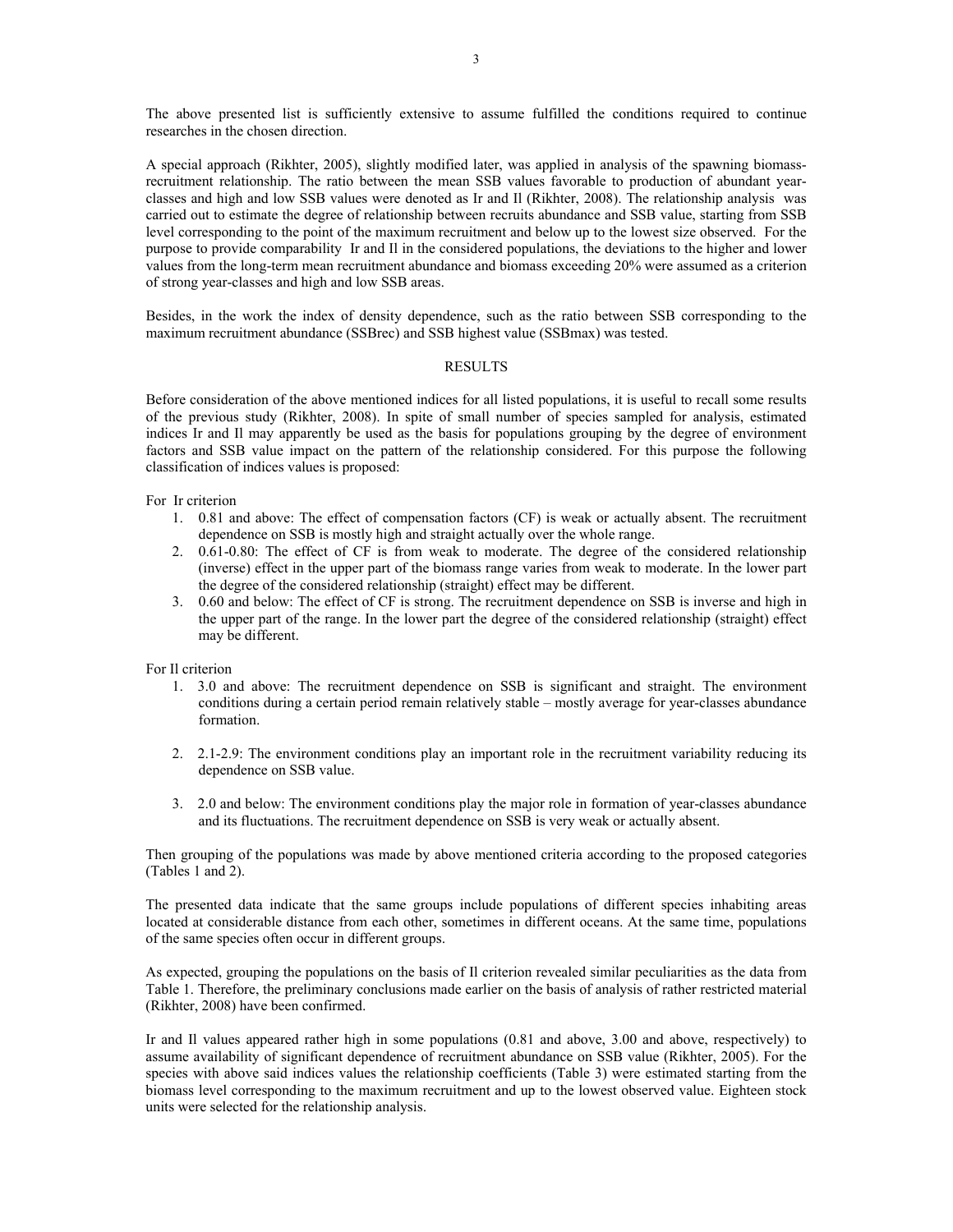The above presented list is sufficiently extensive to assume fulfilled the conditions required to continue researches in the chosen direction.

A special approach (Rikhter, 2005), slightly modified later, was applied in analysis of the spawning biomassrecruitment relationship. The ratio between the mean SSB values favorable to production of abundant yearclasses and high and low SSB values were denoted as Ir and Il (Rikhter, 2008). The relationship analysis was carried out to estimate the degree of relationship between recruits abundance and SSB value, starting from SSB level corresponding to the point of the maximum recruitment and below up to the lowest size observed. For the purpose to provide comparability Ir and Il in the considered populations, the deviations to the higher and lower values from the long-term mean recruitment abundance and biomass exceeding 20% were assumed as a criterion of strong year-classes and high and low SSB areas.

Besides, in the work the index of density dependence, such as the ratio between SSB corresponding to the maximum recruitment abundance (SSBrec) and SSB highest value (SSBmax) was tested.

#### RESULTS

Before consideration of the above mentioned indices for all listed populations, it is useful to recall some results of the previous study (Rikhter, 2008). In spite of small number of species sampled for analysis, estimated indices Ir and Il may apparently be used as the basis for populations grouping by the degree of environment factors and SSB value impact on the pattern of the relationship considered. For this purpose the following classification of indices values is proposed:

For Ir criterion

- 1. 0.81 and above: The effect of compensation factors (CF) is weak or actually absent. The recruitment dependence on SSB is mostly high and straight actually over the whole range.
- 2. 0.61-0.80: The effect of CF is from weak to moderate. The degree of the considered relationship (inverse) effect in the upper part of the biomass range varies from weak to moderate. In the lower part the degree of the considered relationship (straight) effect may be different.
- 3. 0.60 and below: The effect of CF is strong. The recruitment dependence on SSB is inverse and high in the upper part of the range. In the lower part the degree of the considered relationship (straight) effect may be different.

For Il criterion

- 1. 3.0 and above: The recruitment dependence on SSB is significant and straight. The environment conditions during a certain period remain relatively stable – mostly average for year-classes abundance formation.
- 2. 2.1-2.9: The environment conditions play an important role in the recruitment variability reducing its dependence on SSB value.
- 3. 2.0 and below: The environment conditions play the major role in formation of year-classes abundance and its fluctuations. The recruitment dependence on SSB is very weak or actually absent.

Then grouping of the populations was made by above mentioned criteria according to the proposed categories (Tables 1 and 2).

The presented data indicate that the same groups include populations of different species inhabiting areas located at considerable distance from each other, sometimes in different oceans. At the same time, populations of the same species often occur in different groups.

As expected, grouping the populations on the basis of Il criterion revealed similar peculiarities as the data from Table 1. Therefore, the preliminary conclusions made earlier on the basis of analysis of rather restricted material (Rikhter, 2008) have been confirmed.

Ir and Il values appeared rather high in some populations (0.81 and above, 3.00 and above, respectively) to assume availability of significant dependence of recruitment abundance on SSB value (Rikhter, 2005). For the species with above said indices values the relationship coefficients (Table 3) were estimated starting from the biomass level corresponding to the maximum recruitment and up to the lowest observed value. Eighteen stock units were selected for the relationship analysis.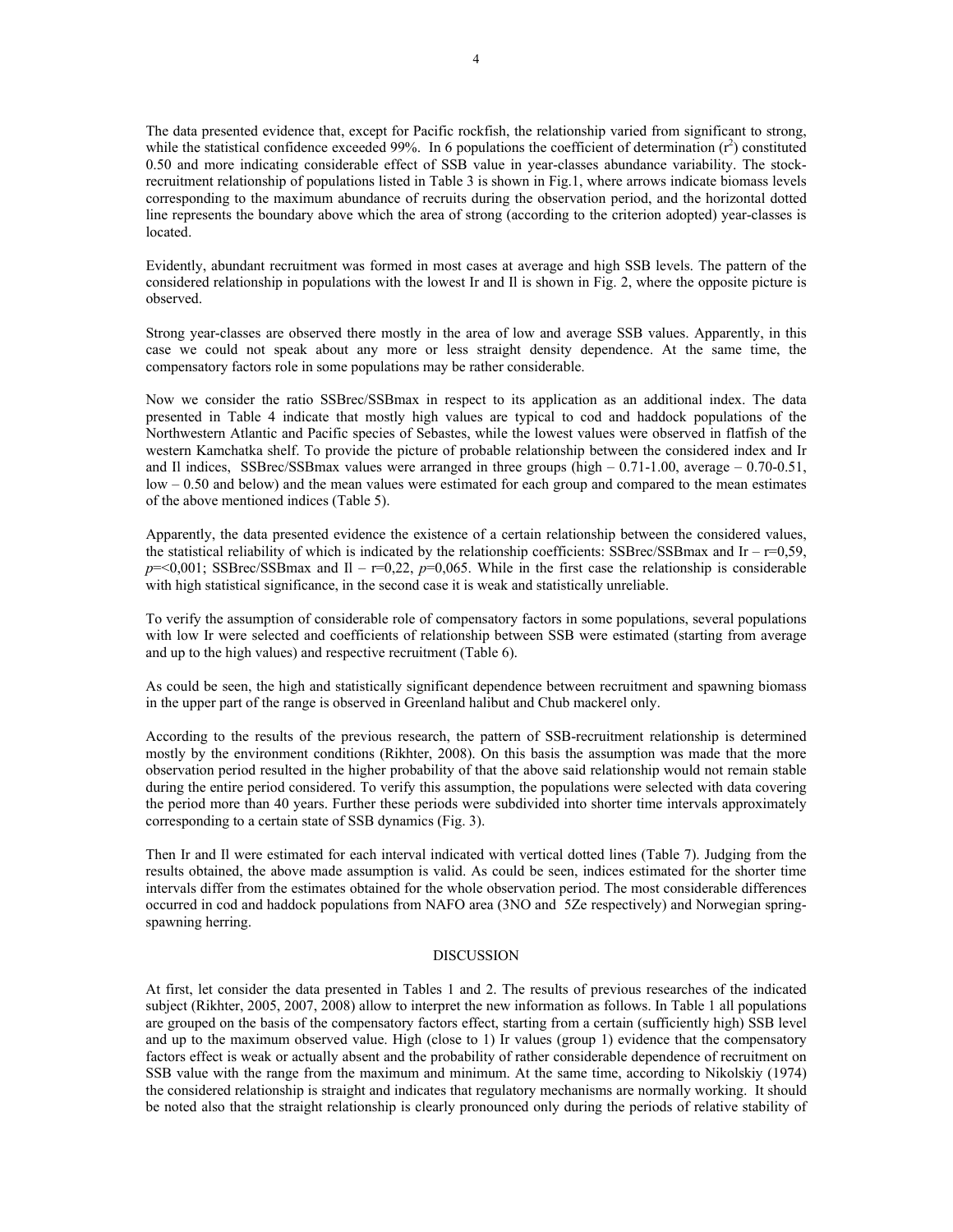The data presented evidence that, except for Pacific rockfish, the relationship varied from significant to strong, while the statistical confidence exceeded 99%. In 6 populations the coefficient of determination  $(r^2)$  constituted 0.50 and more indicating considerable effect of SSB value in year-classes abundance variability. The stockrecruitment relationship of populations listed in Table 3 is shown in Fig.1, where arrows indicate biomass levels corresponding to the maximum abundance of recruits during the observation period, and the horizontal dotted line represents the boundary above which the area of strong (according to the criterion adopted) year-classes is located.

Evidently, abundant recruitment was formed in most cases at average and high SSB levels. The pattern of the considered relationship in populations with the lowest Ir and Il is shown in Fig. 2, where the opposite picture is observed.

Strong year-classes are observed there mostly in the area of low and average SSB values. Apparently, in this case we could not speak about any more or less straight density dependence. At the same time, the compensatory factors role in some populations may be rather considerable.

Now we consider the ratio SSBrec/SSBmax in respect to its application as an additional index. The data presented in Table 4 indicate that mostly high values are typical to cod and haddock populations of the Northwestern Atlantic and Pacific species of Sebastes, while the lowest values were observed in flatfish of the western Kamchatka shelf. To provide the picture of probable relationship between the considered index and Ir and Il indices, SSBrec/SSBmax values were arranged in three groups (high  $-0.71$ -1.00, average  $-0.70$ -0.51, low – 0.50 and below) and the mean values were estimated for each group and compared to the mean estimates of the above mentioned indices (Table 5).

Apparently, the data presented evidence the existence of a certain relationship between the considered values, the statistical reliability of which is indicated by the relationship coefficients: SSBrec/SSBmax and Ir –  $r=0.59$ ,  $p = 0.001$ ; SSBrec/SSBmax and Il –  $r = 0.22$ ,  $p = 0.065$ . While in the first case the relationship is considerable with high statistical significance, in the second case it is weak and statistically unreliable.

To verify the assumption of considerable role of compensatory factors in some populations, several populations with low Ir were selected and coefficients of relationship between SSB were estimated (starting from average and up to the high values) and respective recruitment (Table 6).

As could be seen, the high and statistically significant dependence between recruitment and spawning biomass in the upper part of the range is observed in Greenland halibut and Chub mackerel only.

According to the results of the previous research, the pattern of SSB-recruitment relationship is determined mostly by the environment conditions (Rikhter, 2008). On this basis the assumption was made that the more observation period resulted in the higher probability of that the above said relationship would not remain stable during the entire period considered. To verify this assumption, the populations were selected with data covering the period more than 40 years. Further these periods were subdivided into shorter time intervals approximately corresponding to a certain state of SSB dynamics (Fig. 3).

Then Ir and Il were estimated for each interval indicated with vertical dotted lines (Table 7). Judging from the results obtained, the above made assumption is valid. As could be seen, indices estimated for the shorter time intervals differ from the estimates obtained for the whole observation period. The most considerable differences occurred in cod and haddock populations from NAFO area (3NO and 5Ze respectively) and Norwegian springspawning herring.

#### DISCUSSION

At first, let consider the data presented in Tables 1 and 2. The results of previous researches of the indicated subject (Rikhter, 2005, 2007, 2008) allow to interpret the new information as follows. In Table 1 all populations are grouped on the basis of the compensatory factors effect, starting from a certain (sufficiently high) SSB level and up to the maximum observed value. High (close to 1) Ir values (group 1) evidence that the compensatory factors effect is weak or actually absent and the probability of rather considerable dependence of recruitment on SSB value with the range from the maximum and minimum. At the same time, according to Nikolskiy (1974) the considered relationship is straight and indicates that regulatory mechanisms are normally working. It should be noted also that the straight relationship is clearly pronounced only during the periods of relative stability of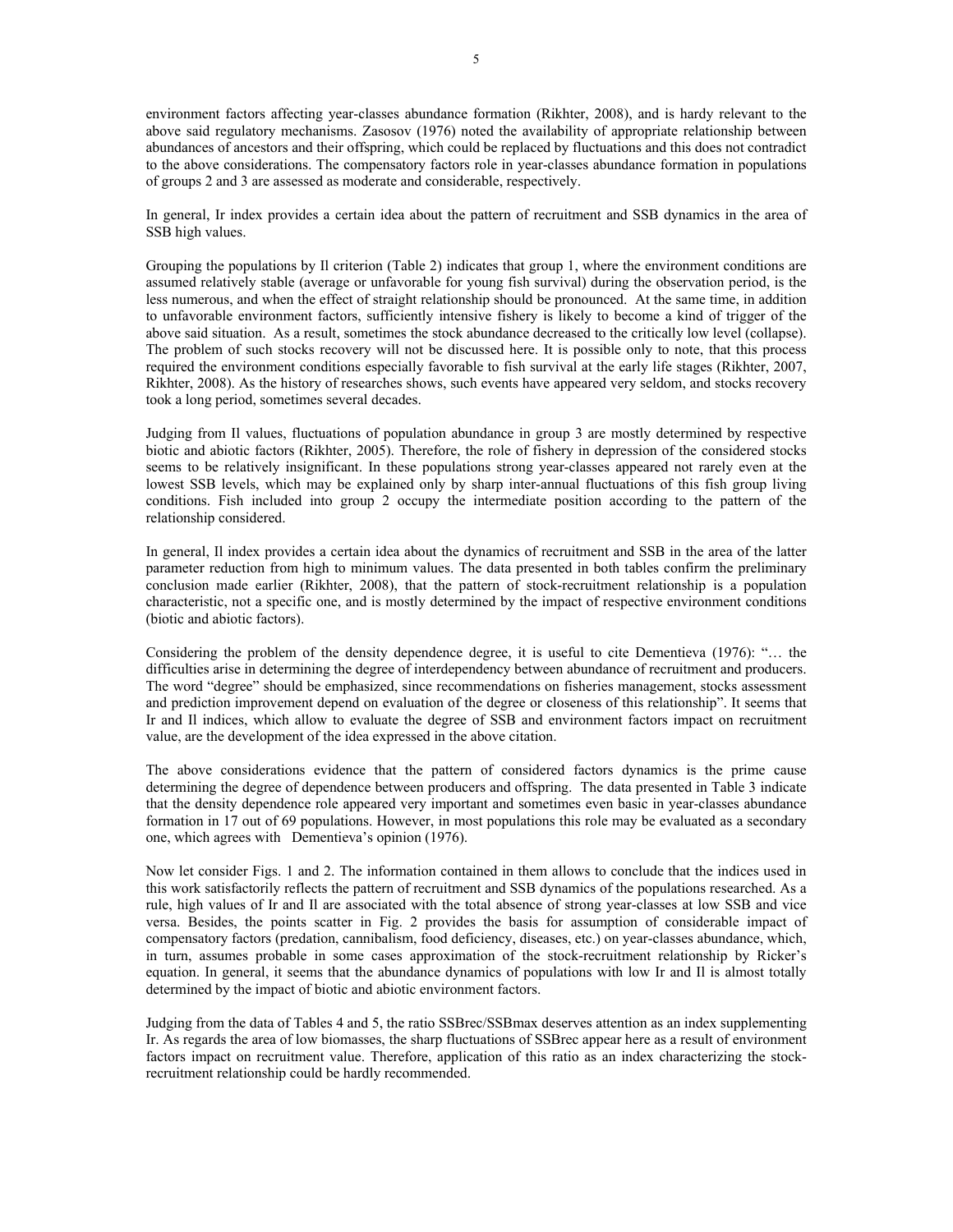environment factors affecting year-classes abundance formation (Rikhter, 2008), and is hardy relevant to the above said regulatory mechanisms. Zasosov (1976) noted the availability of appropriate relationship between abundances of ancestors and their offspring, which could be replaced by fluctuations and this does not contradict to the above considerations. The compensatory factors role in year-classes abundance formation in populations of groups 2 and 3 are assessed as moderate and considerable, respectively.

In general, Ir index provides a certain idea about the pattern of recruitment and SSB dynamics in the area of SSB high values.

Grouping the populations by Il criterion (Table 2) indicates that group 1, where the environment conditions are assumed relatively stable (average or unfavorable for young fish survival) during the observation period, is the less numerous, and when the effect of straight relationship should be pronounced. At the same time, in addition to unfavorable environment factors, sufficiently intensive fishery is likely to become a kind of trigger of the above said situation. As a result, sometimes the stock abundance decreased to the critically low level (collapse). The problem of such stocks recovery will not be discussed here. It is possible only to note, that this process required the environment conditions especially favorable to fish survival at the early life stages (Rikhter, 2007, Rikhter, 2008). As the history of researches shows, such events have appeared very seldom, and stocks recovery took a long period, sometimes several decades.

Judging from Il values, fluctuations of population abundance in group 3 are mostly determined by respective biotic and abiotic factors (Rikhter, 2005). Therefore, the role of fishery in depression of the considered stocks seems to be relatively insignificant. In these populations strong year-classes appeared not rarely even at the lowest SSB levels, which may be explained only by sharp inter-annual fluctuations of this fish group living conditions. Fish included into group 2 occupy the intermediate position according to the pattern of the relationship considered.

In general, Il index provides a certain idea about the dynamics of recruitment and SSB in the area of the latter parameter reduction from high to minimum values. The data presented in both tables confirm the preliminary conclusion made earlier (Rikhter, 2008), that the pattern of stock-recruitment relationship is a population characteristic, not a specific one, and is mostly determined by the impact of respective environment conditions (biotic and abiotic factors).

Considering the problem of the density dependence degree, it is useful to cite Dementieva (1976): "… the difficulties arise in determining the degree of interdependency between abundance of recruitment and producers. The word "degree" should be emphasized, since recommendations on fisheries management, stocks assessment and prediction improvement depend on evaluation of the degree or closeness of this relationship". It seems that Ir and Il indices, which allow to evaluate the degree of SSB and environment factors impact on recruitment value, are the development of the idea expressed in the above citation.

The above considerations evidence that the pattern of considered factors dynamics is the prime cause determining the degree of dependence between producers and offspring. The data presented in Table 3 indicate that the density dependence role appeared very important and sometimes even basic in year-classes abundance formation in 17 out of 69 populations. However, in most populations this role may be evaluated as a secondary one, which agrees with Dementieva's opinion (1976).

Now let consider Figs. 1 and 2. The information contained in them allows to conclude that the indices used in this work satisfactorily reflects the pattern of recruitment and SSB dynamics of the populations researched. As a rule, high values of Ir and Il are associated with the total absence of strong year-classes at low SSB and vice versa. Besides, the points scatter in Fig. 2 provides the basis for assumption of considerable impact of compensatory factors (predation, cannibalism, food deficiency, diseases, etc.) on year-classes abundance, which, in turn, assumes probable in some cases approximation of the stock-recruitment relationship by Ricker's equation. In general, it seems that the abundance dynamics of populations with low Ir and Il is almost totally determined by the impact of biotic and abiotic environment factors.

Judging from the data of Tables 4 and 5, the ratio SSBrec/SSBmax deserves attention as an index supplementing Ir. As regards the area of low biomasses, the sharp fluctuations of SSBrec appear here as a result of environment factors impact on recruitment value. Therefore, application of this ratio as an index characterizing the stockrecruitment relationship could be hardly recommended.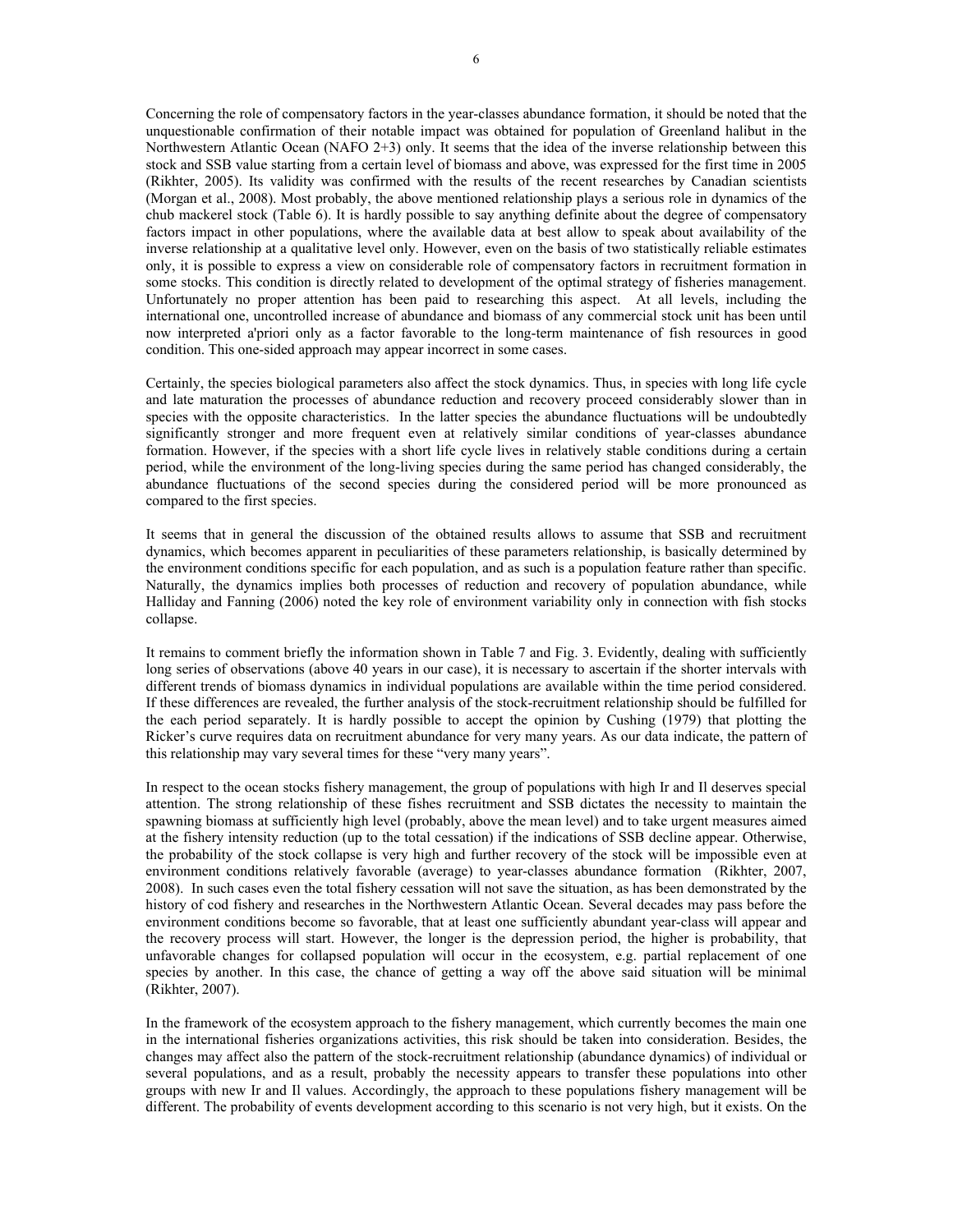Concerning the role of compensatory factors in the year-classes abundance formation, it should be noted that the unquestionable confirmation of their notable impact was obtained for population of Greenland halibut in the Northwestern Atlantic Ocean (NAFO 2+3) only. It seems that the idea of the inverse relationship between this stock and SSB value starting from a certain level of biomass and above, was expressed for the first time in 2005 (Rikhter, 2005). Its validity was confirmed with the results of the recent researches by Canadian scientists (Morgan et al., 2008). Most probably, the above mentioned relationship plays a serious role in dynamics of the chub mackerel stock (Table 6). It is hardly possible to say anything definite about the degree of compensatory factors impact in other populations, where the available data at best allow to speak about availability of the inverse relationship at a qualitative level only. However, even on the basis of two statistically reliable estimates only, it is possible to express a view on considerable role of compensatory factors in recruitment formation in some stocks. This condition is directly related to development of the optimal strategy of fisheries management. Unfortunately no proper attention has been paid to researching this aspect. At all levels, including the international one, uncontrolled increase of abundance and biomass of any commercial stock unit has been until now interpreted a'priori only as a factor favorable to the long-term maintenance of fish resources in good condition. This one-sided approach may appear incorrect in some cases.

Certainly, the species biological parameters also affect the stock dynamics. Thus, in species with long life cycle and late maturation the processes of abundance reduction and recovery proceed considerably slower than in species with the opposite characteristics. In the latter species the abundance fluctuations will be undoubtedly significantly stronger and more frequent even at relatively similar conditions of year-classes abundance formation. However, if the species with a short life cycle lives in relatively stable conditions during a certain period, while the environment of the long-living species during the same period has changed considerably, the abundance fluctuations of the second species during the considered period will be more pronounced as compared to the first species.

It seems that in general the discussion of the obtained results allows to assume that SSB and recruitment dynamics, which becomes apparent in peculiarities of these parameters relationship, is basically determined by the environment conditions specific for each population, and as such is a population feature rather than specific. Naturally, the dynamics implies both processes of reduction and recovery of population abundance, while Halliday and Fanning (2006) noted the key role of environment variability only in connection with fish stocks collapse.

It remains to comment briefly the information shown in Table 7 and Fig. 3. Evidently, dealing with sufficiently long series of observations (above 40 years in our case), it is necessary to ascertain if the shorter intervals with different trends of biomass dynamics in individual populations are available within the time period considered. If these differences are revealed, the further analysis of the stock-recruitment relationship should be fulfilled for the each period separately. It is hardly possible to accept the opinion by Cushing (1979) that plotting the Ricker's curve requires data on recruitment abundance for very many years. As our data indicate, the pattern of this relationship may vary several times for these "very many years".

In respect to the ocean stocks fishery management, the group of populations with high Ir and Il deserves special attention. The strong relationship of these fishes recruitment and SSB dictates the necessity to maintain the spawning biomass at sufficiently high level (probably, above the mean level) and to take urgent measures aimed at the fishery intensity reduction (up to the total cessation) if the indications of SSB decline appear. Otherwise, the probability of the stock collapse is very high and further recovery of the stock will be impossible even at environment conditions relatively favorable (average) to year-classes abundance formation (Rikhter, 2007, 2008). In such cases even the total fishery cessation will not save the situation, as has been demonstrated by the history of cod fishery and researches in the Northwestern Atlantic Ocean. Several decades may pass before the environment conditions become so favorable, that at least one sufficiently abundant year-class will appear and the recovery process will start. However, the longer is the depression period, the higher is probability, that unfavorable changes for collapsed population will occur in the ecosystem, e.g. partial replacement of one species by another. In this case, the chance of getting a way off the above said situation will be minimal (Rikhter, 2007).

In the framework of the ecosystem approach to the fishery management, which currently becomes the main one in the international fisheries organizations activities, this risk should be taken into consideration. Besides, the changes may affect also the pattern of the stock-recruitment relationship (abundance dynamics) of individual or several populations, and as a result, probably the necessity appears to transfer these populations into other groups with new Ir and Il values. Accordingly, the approach to these populations fishery management will be different. The probability of events development according to this scenario is not very high, but it exists. On the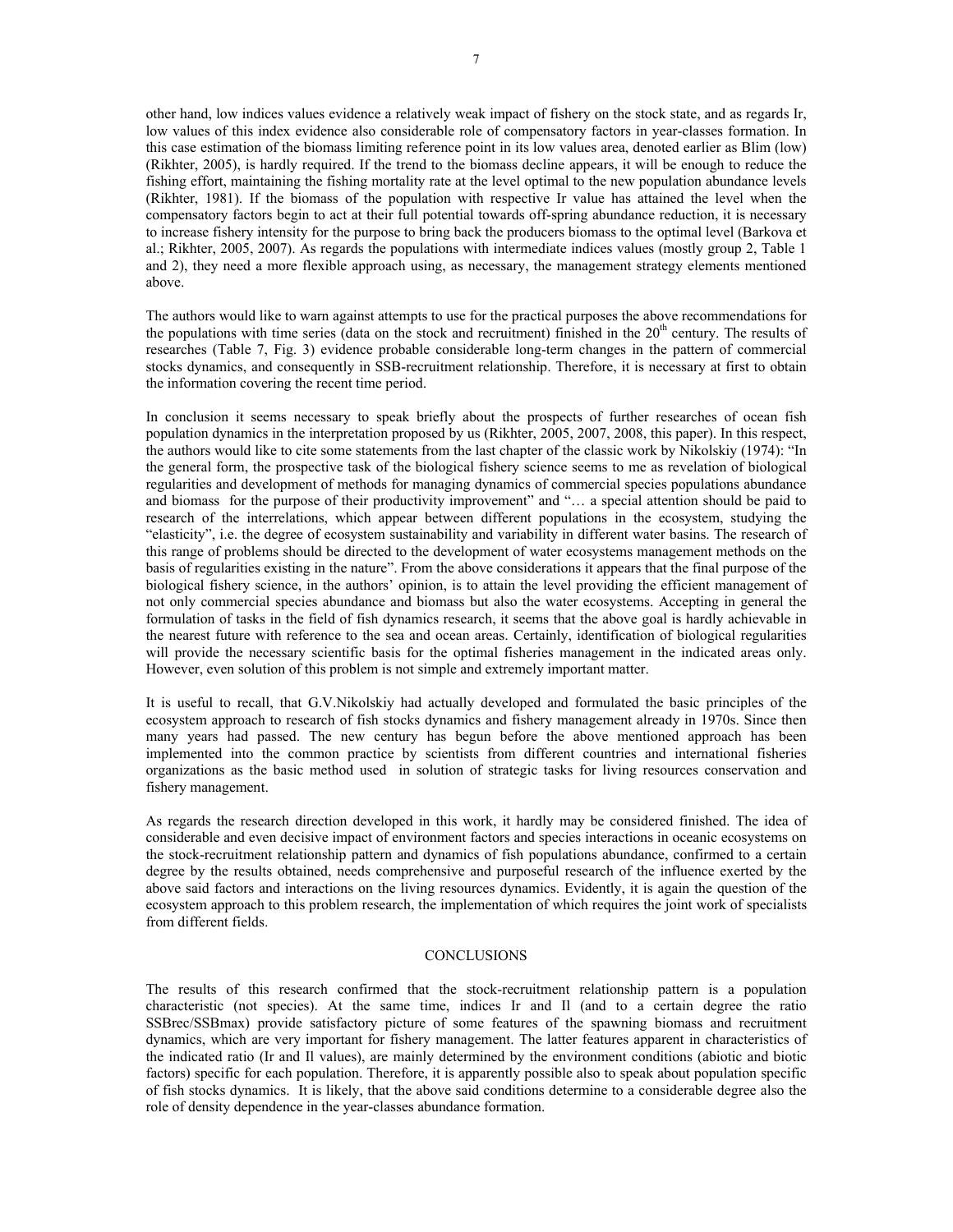other hand, low indices values evidence a relatively weak impact of fishery on the stock state, and as regards Ir, low values of this index evidence also considerable role of compensatory factors in year-classes formation. In this case estimation of the biomass limiting reference point in its low values area, denoted earlier as Blim (low) (Rikhter, 2005), is hardly required. If the trend to the biomass decline appears, it will be enough to reduce the fishing effort, maintaining the fishing mortality rate at the level optimal to the new population abundance levels (Rikhter, 1981). If the biomass of the population with respective Ir value has attained the level when the compensatory factors begin to act at their full potential towards off-spring abundance reduction, it is necessary to increase fishery intensity for the purpose to bring back the producers biomass to the optimal level (Barkova et al.; Rikhter, 2005, 2007). As regards the populations with intermediate indices values (mostly group 2, Table 1 and 2), they need a more flexible approach using, as necessary, the management strategy elements mentioned above.

The authors would like to warn against attempts to use for the practical purposes the above recommendations for the populations with time series (data on the stock and recruitment) finished in the  $20<sup>th</sup>$  century. The results of researches (Table 7, Fig. 3) evidence probable considerable long-term changes in the pattern of commercial stocks dynamics, and consequently in SSB-recruitment relationship. Therefore, it is necessary at first to obtain the information covering the recent time period.

In conclusion it seems necessary to speak briefly about the prospects of further researches of ocean fish population dynamics in the interpretation proposed by us (Rikhter, 2005, 2007, 2008, this paper). In this respect, the authors would like to cite some statements from the last chapter of the classic work by Nikolskiy (1974): "In the general form, the prospective task of the biological fishery science seems to me as revelation of biological regularities and development of methods for managing dynamics of commercial species populations abundance and biomass for the purpose of their productivity improvement" and "... a special attention should be paid to research of the interrelations, which appear between different populations in the ecosystem, studying the "elasticity", i.e. the degree of ecosystem sustainability and variability in different water basins. The research of this range of problems should be directed to the development of water ecosystems management methods on the basis of regularities existing in the nature". From the above considerations it appears that the final purpose of the biological fishery science, in the authors' opinion, is to attain the level providing the efficient management of not only commercial species abundance and biomass but also the water ecosystems. Accepting in general the formulation of tasks in the field of fish dynamics research, it seems that the above goal is hardly achievable in the nearest future with reference to the sea and ocean areas. Certainly, identification of biological regularities will provide the necessary scientific basis for the optimal fisheries management in the indicated areas only. However, even solution of this problem is not simple and extremely important matter.

It is useful to recall, that G.V.Nikolskiy had actually developed and formulated the basic principles of the ecosystem approach to research of fish stocks dynamics and fishery management already in 1970s. Since then many years had passed. The new century has begun before the above mentioned approach has been implemented into the common practice by scientists from different countries and international fisheries organizations as the basic method used in solution of strategic tasks for living resources conservation and fishery management.

As regards the research direction developed in this work, it hardly may be considered finished. The idea of considerable and even decisive impact of environment factors and species interactions in oceanic ecosystems on the stock-recruitment relationship pattern and dynamics of fish populations abundance, confirmed to a certain degree by the results obtained, needs comprehensive and purposeful research of the influence exerted by the above said factors and interactions on the living resources dynamics. Evidently, it is again the question of the ecosystem approach to this problem research, the implementation of which requires the joint work of specialists from different fields.

#### **CONCLUSIONS**

The results of this research confirmed that the stock-recruitment relationship pattern is a population characteristic (not species). At the same time, indices Ir and Il (and to a certain degree the ratio SSBrec/SSBmax) provide satisfactory picture of some features of the spawning biomass and recruitment dynamics, which are very important for fishery management. The latter features apparent in characteristics of the indicated ratio (Ir and Il values), are mainly determined by the environment conditions (abiotic and biotic factors) specific for each population. Therefore, it is apparently possible also to speak about population specific of fish stocks dynamics. It is likely, that the above said conditions determine to a considerable degree also the role of density dependence in the year-classes abundance formation.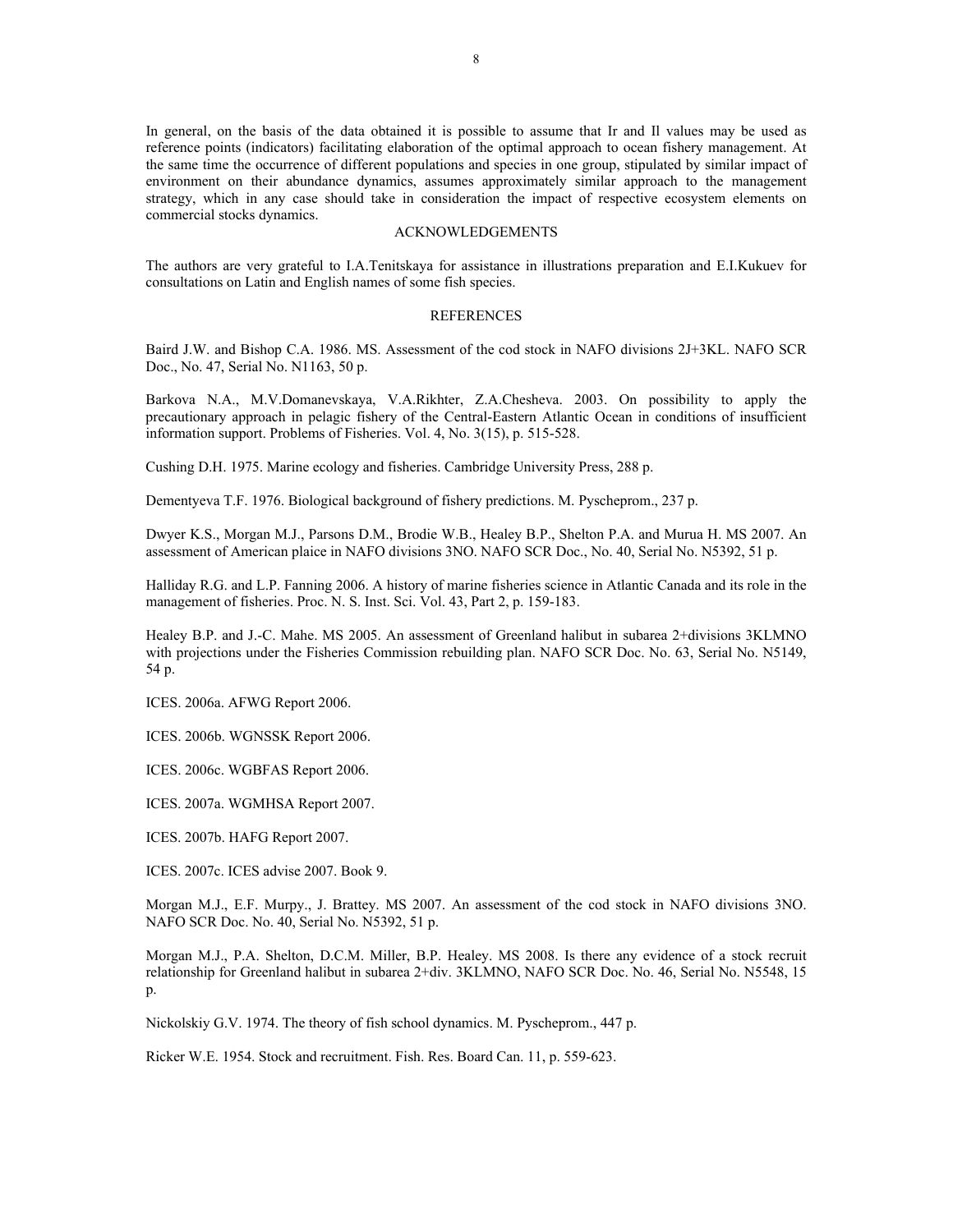In general, on the basis of the data obtained it is possible to assume that Ir and Il values may be used as reference points (indicators) facilitating elaboration of the optimal approach to ocean fishery management. At the same time the occurrence of different populations and species in one group, stipulated by similar impact of environment on their abundance dynamics, assumes approximately similar approach to the management strategy, which in any case should take in consideration the impact of respective ecosystem elements on commercial stocks dynamics.

## ACKNOWLEDGEMENTS

The authors are very grateful to I.A.Tenitskaya for assistance in illustrations preparation and E.I.Kukuev for consultations on Latin and English names of some fish species.

#### REFERENCES

Baird J.W. and Bishop C.A. 1986. MS. Assessment of the cod stock in NAFO divisions 2J+3KL. NAFO SCR Doc., No. 47, Serial No. N1163, 50 p.

Barkova N.A., M.V.Domanevskaya, V.A.Rikhter, Z.A.Chesheva. 2003. On possibility to apply the precautionary approach in pelagic fishery of the Central-Eastern Atlantic Ocean in conditions of insufficient information support. Problems of Fisheries. Vol. 4, No. 3(15), p. 515-528.

Сushing D.H. 1975. Marine ecology and fisheries. Cambridge University Press, 288 p.

Dementyeva Т.F. 1976. Biological background of fishery predictions. М. Pyscheprom., 237 p.

Dwyer K.S., Morgan M.J., Parsons D.M., Brodie W.B., Healey B.P., Shelton P.A. and Murua H. MS 2007. An assessment of American plaice in NAFO divisions 3NO. NAFO SCR Doc., No. 40, Serial No. N5392, 51 p.

Halliday R.G. and L.P. Fanning 2006. A history of marine fisheries science in Atlantic Canada and its role in the management of fisheries. Proc. N. S. Inst. Sci. Vol. 43, Part 2, p. 159-183.

Healey B.P. and J.-C. Mahe. MS 2005. An assessment of Greenland halibut in subarea 2+divisions 3KLMNO with projections under the Fisheries Commission rebuilding plan. NAFO SCR Doc. No. 63, Serial No. N5149, 54 p.

ICES. 2006a. AFWG Report 2006.

ICES. 2006b. WGNSSK Report 2006.

ICES. 2006c. WGBFAS Report 2006.

ICES. 2007a. WGMHSA Report 2007.

ICES. 2007b. HAFG Report 2007.

ICES. 2007c. ICES advise 2007. Book 9.

Morgan M.J., E.F. Murpy., J. Brattey. MS 2007. An assessment of the cod stock in NAFO divisions 3NO. NAFO SCR Doc. No. 40, Serial No. N5392, 51 p.

Morgan M.J., P.A. Shelton, D.C.M. Miller, B.P. Healey. MS 2008. Is there any evidence of a stock recruit relationship for Greenland halibut in subarea 2+div. 3KLMNO, NAFO SCR Doc. No. 46, Serial No. N5548, 15 p.

Nickolskiy G.V. 1974. The theory of fish school dynamics. М. Pyscheprom., 447 p.

Ricker W.E. 1954. Stock and recruitment. Fish. Res. Board Can. 11, p. 559-623.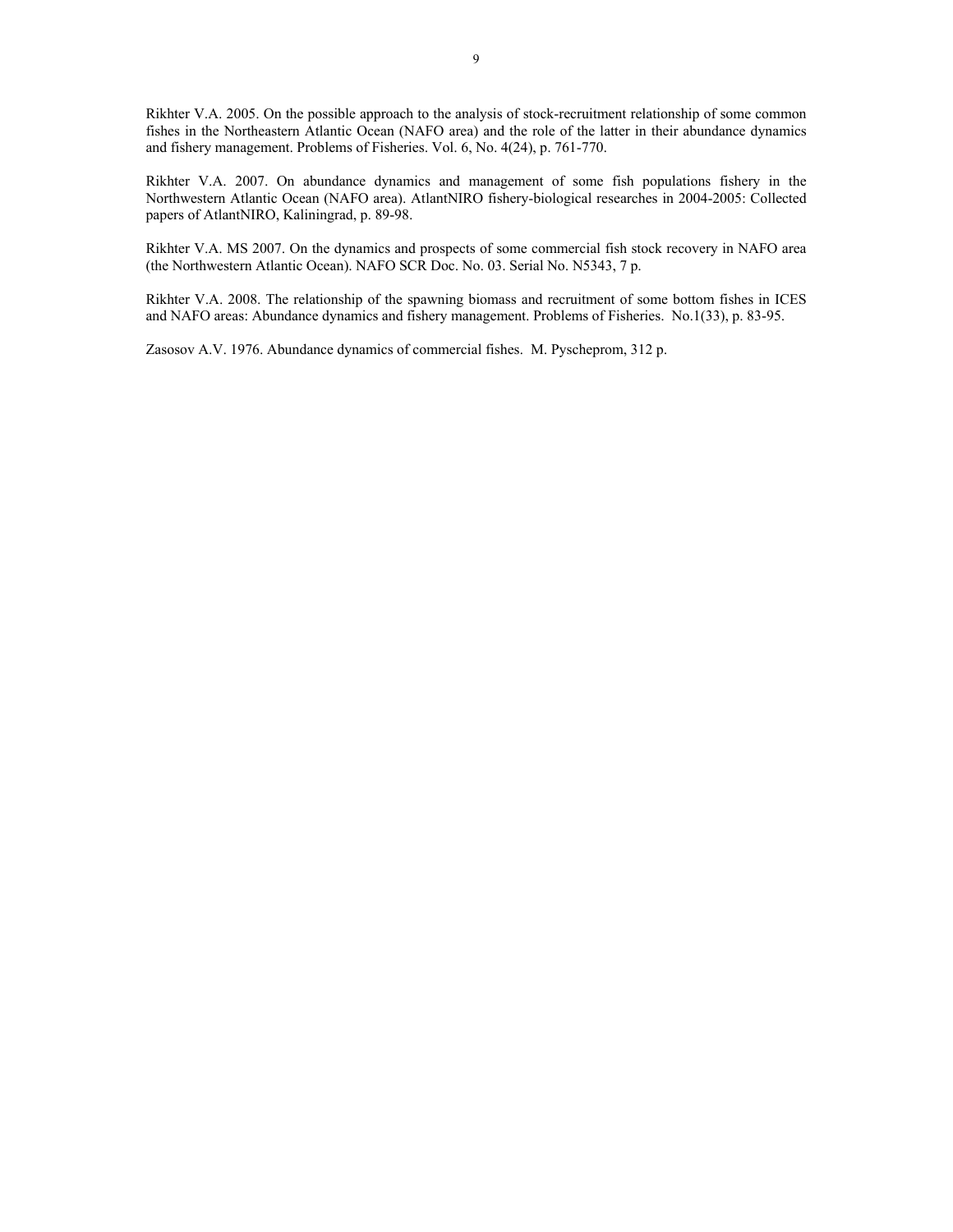Rikhter V.A. 2005. On the possible approach to the analysis of stock-recruitment relationship of some common fishes in the Northeastern Atlantic Ocean (NAFO area) and the role of the latter in their abundance dynamics and fishery management. Problems of Fisheries. Vol. 6, No. 4(24), p. 761-770.

Rikhter V.A. 2007. On abundance dynamics and management of some fish populations fishery in the Northwestern Atlantic Ocean (NAFO area). AtlantNIRO fishery-biological researches in 2004-2005: Collected papers of AtlantNIRO, Kaliningrad, p. 89-98.

Rikhter V.A. MS 2007. On the dynamics and prospects of some commercial fish stock recovery in NAFO area (the Northwestern Atlantic Ocean). NAFO SCR Doc. No. 03. Serial No. N5343, 7 p.

Rikhter V.A. 2008. The relationship of the spawning biomass and recruitment of some bottom fishes in ICES and NAFO areas: Abundance dynamics and fishery management. Problems of Fisheries. No.1(33), p. 83-95.

Zasosov А.V. 1976. Abundance dynamics of commercial fishes. М. Pyscheprom, 312 p.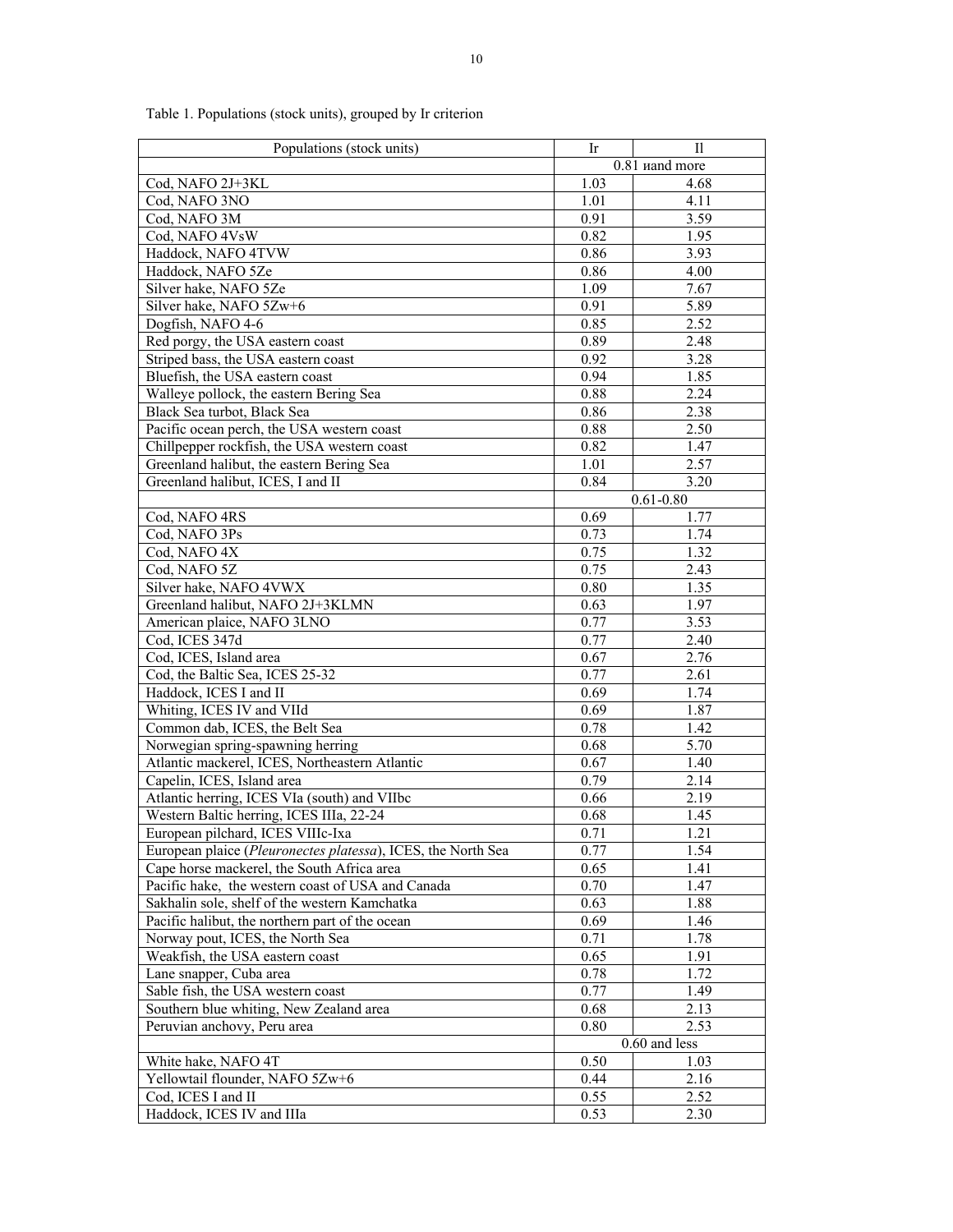| Populations (stock units)                                    | Ir<br>П |                |  |  |
|--------------------------------------------------------------|---------|----------------|--|--|
|                                                              |         | 0.81 uand more |  |  |
| Cod, NAFO 2J+3KL                                             | 1.03    | 4.68           |  |  |
| Cod, NAFO 3NO                                                | 1.01    | 4.11           |  |  |
| Cod, NAFO 3M                                                 | 0.91    | 3.59           |  |  |
| Cod, NAFO 4VsW                                               | 0.82    | 1.95           |  |  |
| Haddock, NAFO 4TVW                                           | 0.86    | 3.93           |  |  |
| Haddock, NAFO 5Ze                                            | 0.86    | 4.00           |  |  |
| Silver hake, NAFO 5Ze                                        | 1.09    | 7.67           |  |  |
| Silver hake, NAFO 5Zw+6                                      | 0.91    | 5.89           |  |  |
| Dogfish, NAFO 4-6                                            | 0.85    | 2.52           |  |  |
| Red porgy, the USA eastern coast                             | 0.89    | 2.48           |  |  |
| Striped bass, the USA eastern coast                          | 0.92    | 3.28           |  |  |
| Bluefish, the USA eastern coast                              | 0.94    | 1.85           |  |  |
| Walleye pollock, the eastern Bering Sea                      | 0.88    | 2.24           |  |  |
| Black Sea turbot, Black Sea                                  | 0.86    | 2.38           |  |  |
| Pacific ocean perch, the USA western coast                   | 0.88    | 2.50           |  |  |
| Chillpepper rockfish, the USA western coast                  | 0.82    | 1.47           |  |  |
| Greenland halibut, the eastern Bering Sea                    | 1.01    | 2.57           |  |  |
| Greenland halibut, ICES, I and II                            | 0.84    | 3.20           |  |  |
|                                                              |         | $0.61 - 0.80$  |  |  |
| Cod, NAFO 4RS                                                | 0.69    | 1.77           |  |  |
| Cod, NAFO 3Ps                                                | 0.73    | 1.74           |  |  |
| Cod, NAFO 4X                                                 | 0.75    | 1.32           |  |  |
| Cod, NAFO 5Z                                                 | 0.75    | 2.43           |  |  |
| Silver hake, NAFO 4VWX                                       | 0.80    | 1.35           |  |  |
| Greenland halibut, NAFO 2J+3KLMN                             | 0.63    | 1.97           |  |  |
| American plaice, NAFO 3LNO                                   | 0.77    | 3.53           |  |  |
| Cod, ICES 347d                                               | 0.77    | 2.40           |  |  |
| Cod, ICES, Island area                                       | 0.67    | 2.76           |  |  |
| Cod, the Baltic Sea, ICES 25-32                              | 0.77    | 2.61           |  |  |
| Haddock, ICES I and II                                       | 0.69    | 1.74           |  |  |
| Whiting, ICES IV and VIId                                    | 0.69    | 1.87           |  |  |
| Common dab, ICES, the Belt Sea                               | 0.78    | 1.42           |  |  |
| Norwegian spring-spawning herring                            | 0.68    | 5.70           |  |  |
| Atlantic mackerel, ICES, Northeastern Atlantic               | 0.67    | 1.40           |  |  |
| Capelin, ICES, Island area                                   | 0.79    | 2.14           |  |  |
| Atlantic herring, ICES VIa (south) and VIIbc                 | 0.66    | 2.19           |  |  |
| Western Baltic herring, ICES IIIa, 22-24                     | 0.68    | 1.45           |  |  |
| European pilchard, ICES VIIIc-Ixa                            | 0.71    | 1.21           |  |  |
| European plaice (Pleuronectes platessa), ICES, the North Sea | 0.77    | 1.54           |  |  |
| Cape horse mackerel, the South Africa area                   | 0.65    | 1.41           |  |  |
| Pacific hake, the western coast of USA and Canada            | 0.70    | 1.47           |  |  |
| Sakhalin sole, shelf of the western Kamchatka                | 0.63    | 1.88           |  |  |
| Pacific halibut, the northern part of the ocean              | 0.69    | 1.46           |  |  |
| Norway pout, ICES, the North Sea                             | 0.71    | 1.78           |  |  |
| Weakfish, the USA eastern coast                              | 0.65    | 1.91           |  |  |
| Lane snapper, Cuba area                                      | 0.78    | 1.72           |  |  |
| Sable fish, the USA western coast                            | 0.77    | 1.49           |  |  |
| Southern blue whiting, New Zealand area                      | 0.68    | 2.13           |  |  |
| Peruvian anchovy, Peru area                                  | 0.80    | 2.53           |  |  |
|                                                              |         | 0.60 and less  |  |  |
| White hake, NAFO 4T                                          | 0.50    | 1.03           |  |  |
| Yellowtail flounder, NAFO 5Zw+6                              | 0.44    | 2.16           |  |  |
| Cod, ICES I and II                                           | 0.55    | 2.52           |  |  |
| Haddock, ICES IV and IIIa                                    | 0.53    | 2.30           |  |  |

Table 1. Populations (stock units), grouped by Ir criterion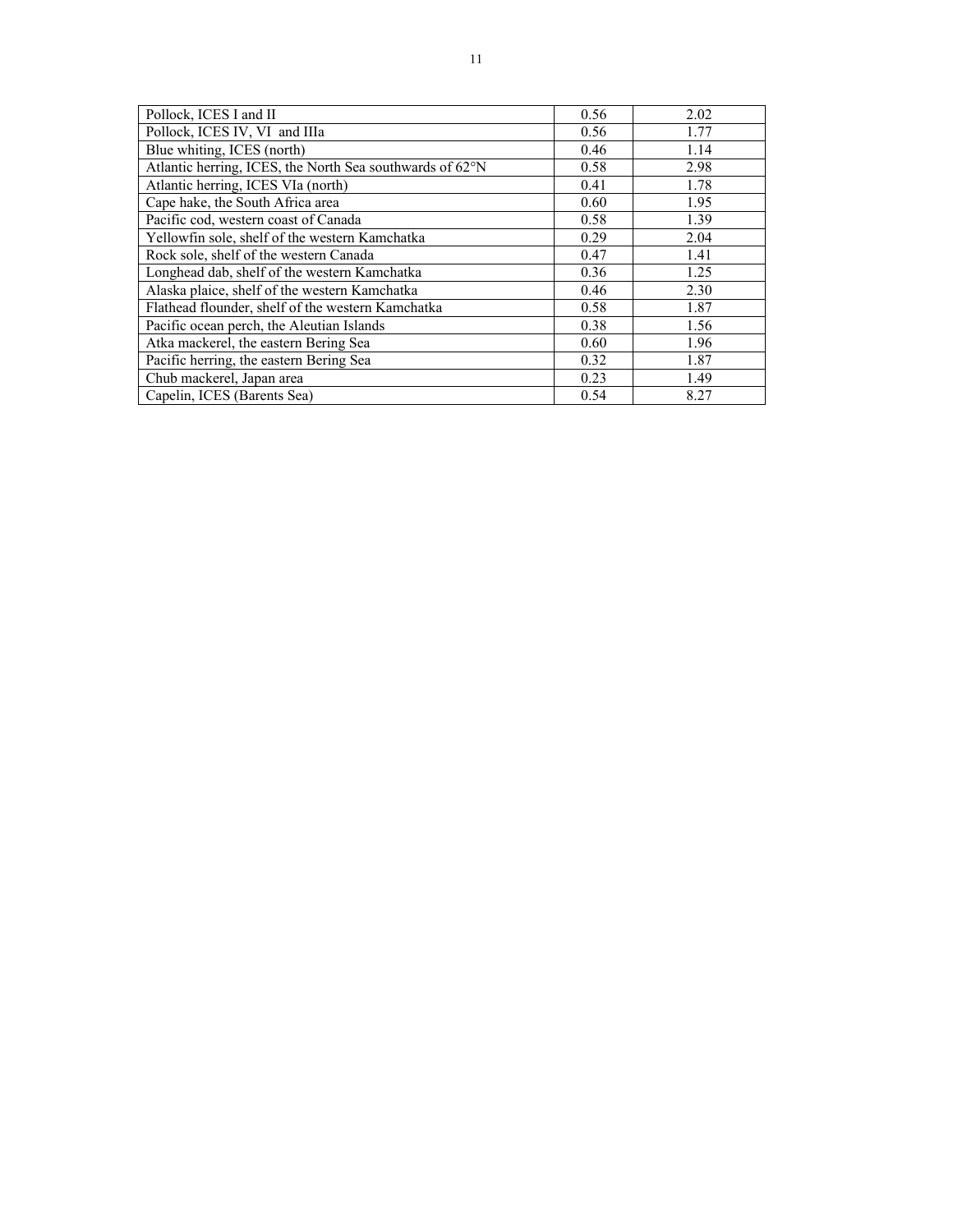| Pollock, ICES I and II                                   | 0.56 | 2.02 |
|----------------------------------------------------------|------|------|
| Pollock, ICES IV, VI and IIIa                            | 0.56 | 1.77 |
| Blue whiting, ICES (north)                               | 0.46 | 1.14 |
| Atlantic herring, ICES, the North Sea southwards of 62°N | 0.58 | 2.98 |
| Atlantic herring, ICES VIa (north)                       | 0.41 | 1.78 |
| Cape hake, the South Africa area                         | 0.60 | 1.95 |
| Pacific cod, western coast of Canada                     | 0.58 | 1.39 |
| Yellowfin sole, shelf of the western Kamchatka           | 0.29 | 2.04 |
| Rock sole, shelf of the western Canada                   | 0.47 | 1.41 |
| Longhead dab, shelf of the western Kamchatka             | 0.36 | 1.25 |
| Alaska plaice, shelf of the western Kamchatka            | 0.46 | 2.30 |
| Flathead flounder, shelf of the western Kamchatka        | 0.58 | 1.87 |
| Pacific ocean perch, the Aleutian Islands                | 0.38 | 1.56 |
| Atka mackerel, the eastern Bering Sea                    | 0.60 | 1.96 |
| Pacific herring, the eastern Bering Sea                  | 0.32 | 1.87 |
| Chub mackerel, Japan area                                | 0.23 | 1.49 |
| Capelin, ICES (Barents Sea)                              | 0.54 | 8.27 |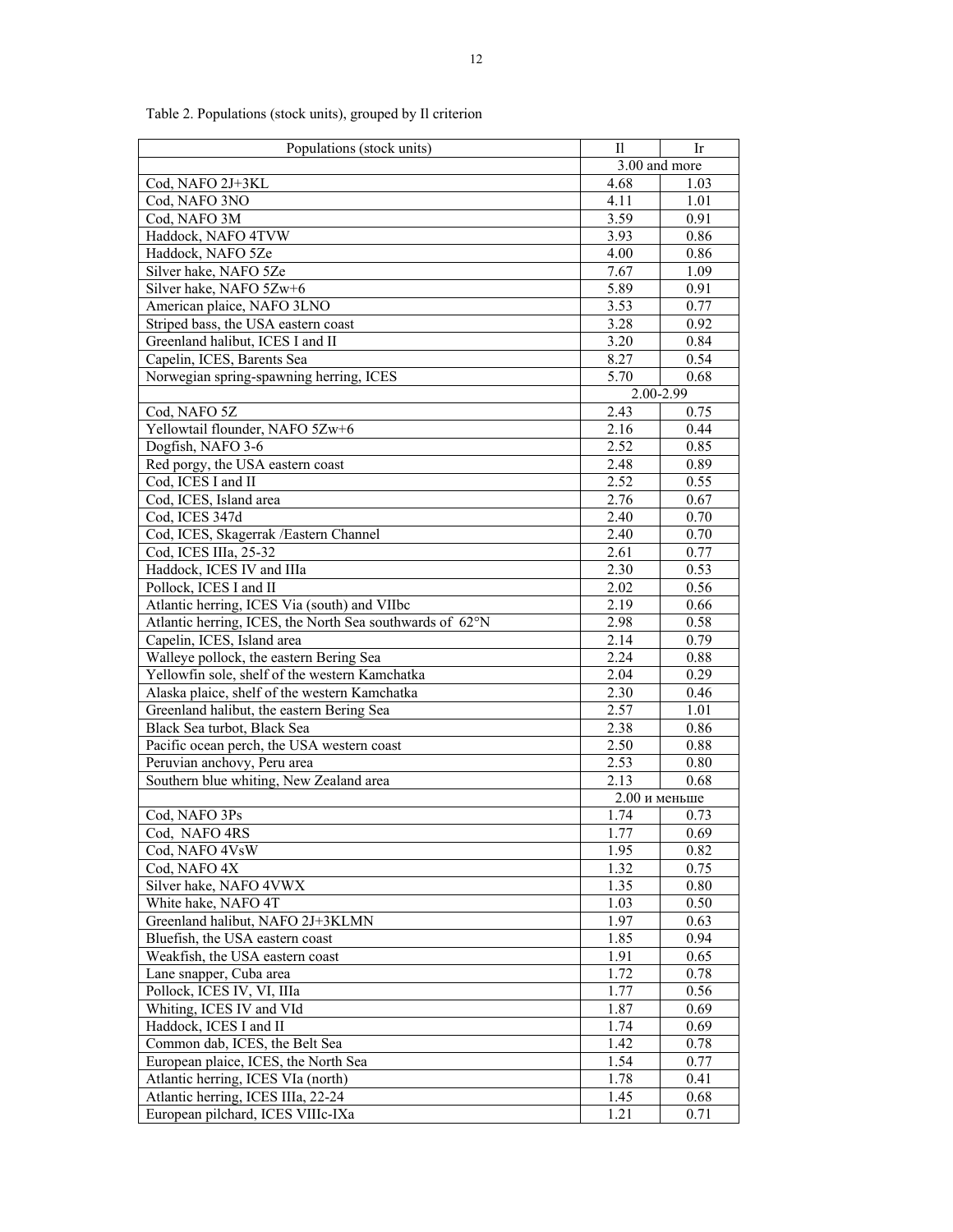| Populations (stock units)                                               | П                 | Ir           |
|-------------------------------------------------------------------------|-------------------|--------------|
|                                                                         | 3.00 and more     |              |
| Cod, NAFO 2J+3KL                                                        | 4.68              | 1.03         |
| Cod, NAFO 3NO                                                           | 4.11              | 1.01         |
| Cod, NAFO 3M                                                            | 3.59              | 0.91         |
| Haddock, NAFO 4TVW                                                      | 3.93              | 0.86         |
| Haddock, NAFO 5Ze                                                       | 4.00              | 0.86         |
| Silver hake, NAFO 5Ze                                                   | 7.67              | 1.09         |
| Silver hake, NAFO 5Zw+6                                                 | 5.89              | 0.91         |
| American plaice, NAFO 3LNO                                              | 3.53              | 0.77         |
| Striped bass, the USA eastern coast                                     | 3.28              | 0.92         |
| Greenland halibut, ICES I and II                                        | 3.20              | 0.84         |
| Capelin, ICES, Barents Sea                                              | 8.27              | 0.54         |
| Norwegian spring-spawning herring, ICES                                 | 5.70              | 0.68         |
|                                                                         | 2.00-2.99         |              |
| Cod, NAFO 5Z                                                            | 2.43              | 0.75         |
| Yellowtail flounder, NAFO 5Zw+6                                         | 2.16              | 0.44         |
| Dogfish, NAFO 3-6                                                       | 2.52              | 0.85         |
| Red porgy, the USA eastern coast                                        | 2.48              | 0.89         |
| Cod, ICES I and II                                                      | 2.52              | 0.55         |
| Cod, ICES, Island area                                                  | 2.76              | 0.67         |
| Cod, ICES 347d                                                          | 2.40              | 0.70         |
| Cod, ICES, Skagerrak / Eastern Channel                                  | 2.40<br>2.61      | 0.70<br>0.77 |
| Cod, ICES IIIa, 25-32<br>Haddock, ICES IV and IIIa                      | 2.30              |              |
| Pollock, ICES I and II                                                  | 2.02              | 0.53<br>0.56 |
| Atlantic herring, ICES Via (south) and VIIbc                            | $2.\overline{19}$ | 0.66         |
| Atlantic herring, ICES, the North Sea southwards of 62°N                | 2.98              | 0.58         |
| Capelin, ICES, Island area                                              | 2.14              | 0.79         |
| Walleye pollock, the eastern Bering Sea                                 | 2.24              | 0.88         |
| Yellowfin sole, shelf of the western Kamchatka                          | 2.04              | 0.29         |
| Alaska plaice, shelf of the western Kamchatka                           | 2.30              | 0.46         |
| Greenland halibut, the eastern Bering Sea                               | 2.57              | 1.01         |
| Black Sea turbot, Black Sea                                             | 2.38              | 0.86         |
| Pacific ocean perch, the USA western coast                              | 2.50              | 0.88         |
| Peruvian anchovy, Peru area                                             | 2.53              | 0.80         |
| Southern blue whiting, New Zealand area                                 | 2.13              | 0.68         |
|                                                                         | $2.00$ и меньше   |              |
| Cod, NAFO 3Ps                                                           | 1.74              | 0.73         |
| Cod, NAFO 4RS                                                           | 1.77              | 0.69         |
| Cod, NAFO 4VsW                                                          | 1.95              | 0.82         |
| Cod, NAFO 4X                                                            | 1.32              | 0.75         |
| Silver hake, NAFO 4VWX                                                  | 1.35              | 0.80         |
| White hake, NAFO 4T                                                     | 1.03              | 0.50         |
| Greenland halibut, NAFO 2J+3KLMN                                        | 1.97              | 0.63         |
| Bluefish, the USA eastern coast                                         | 1.85              | 0.94         |
| Weakfish, the USA eastern coast                                         | 1.91              | 0.65         |
| Lane snapper, Cuba area                                                 | 1.72              | 0.78         |
| Pollock, ICES IV, VI, IIIa                                              | 1.77              | 0.56         |
| Whiting, ICES IV and VId                                                | 1.87              | 0.69         |
| Haddock, ICES I and II                                                  | 1.74              | 0.69         |
| Common dab, ICES, the Belt Sea                                          | 1.42              | 0.78         |
| European plaice, ICES, the North Sea                                    | 1.54              | 0.77         |
| Atlantic herring, ICES VIa (north)                                      | 1.78              | 0.41         |
| Atlantic herring, ICES IIIa, 22-24<br>European pilchard, ICES VIIIc-IXa | 1.45<br>1.21      | 0.68<br>0.71 |
|                                                                         |                   |              |

Table 2. Populations (stock units), grouped by Il criterion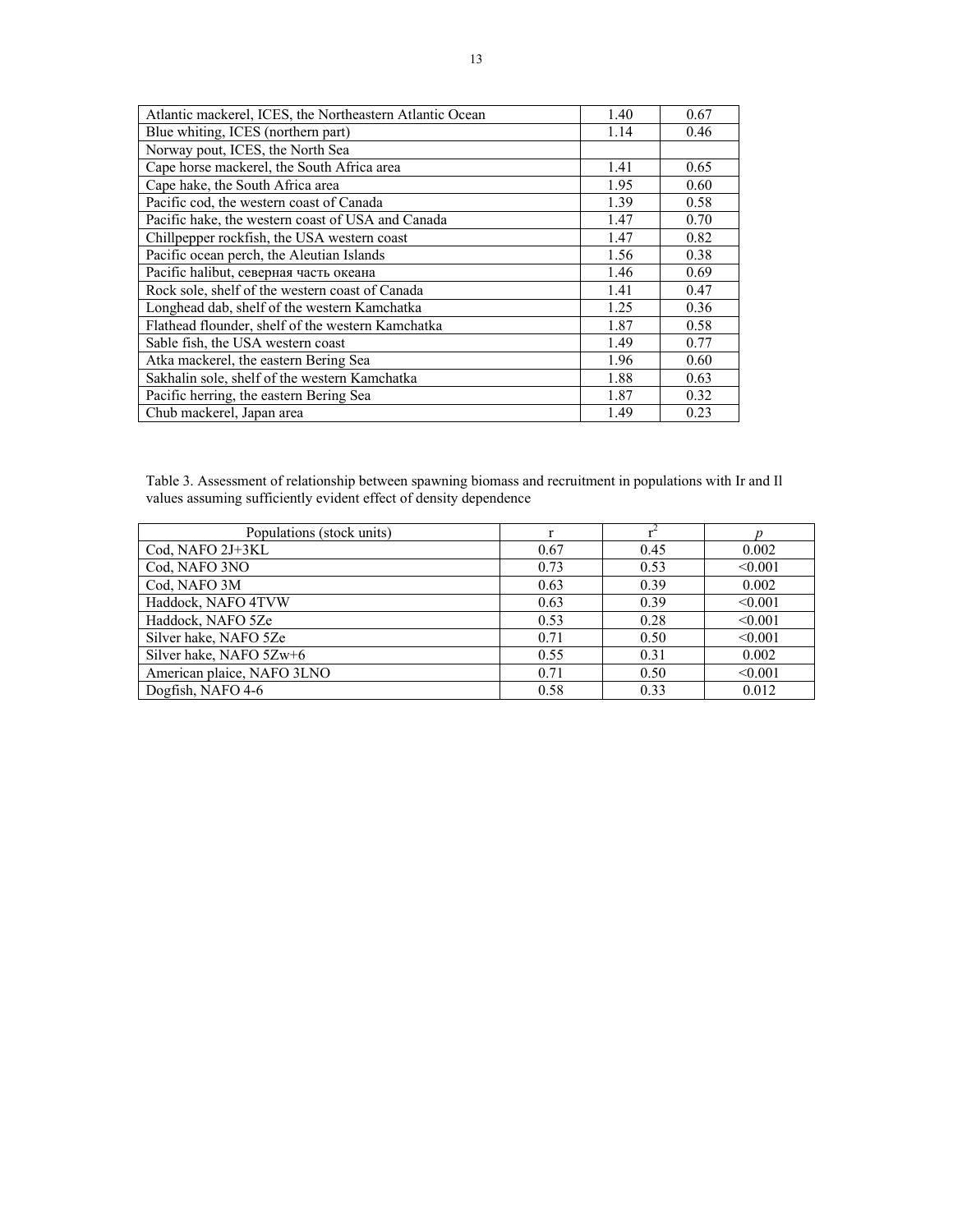| Atlantic mackerel, ICES, the Northeastern Atlantic Ocean | 1.40 | 0.67 |
|----------------------------------------------------------|------|------|
| Blue whiting, ICES (northern part)                       | 1.14 | 0.46 |
| Norway pout, ICES, the North Sea                         |      |      |
| Cape horse mackerel, the South Africa area               | 1.41 | 0.65 |
| Cape hake, the South Africa area                         | 1.95 | 0.60 |
| Pacific cod, the western coast of Canada                 | 1.39 | 0.58 |
| Pacific hake, the western coast of USA and Canada        | 1.47 | 0.70 |
| Chillpepper rockfish, the USA western coast              | 1.47 | 0.82 |
| Pacific ocean perch, the Aleutian Islands                | 1.56 | 0.38 |
| Pacific halibut, северная часть океана                   | 1.46 | 0.69 |
| Rock sole, shelf of the western coast of Canada          | 1.41 | 0.47 |
| Longhead dab, shelf of the western Kamchatka             | 1.25 | 0.36 |
| Flathead flounder, shelf of the western Kamchatka        | 1.87 | 0.58 |
| Sable fish, the USA western coast                        | 1.49 | 0.77 |
| Atka mackerel, the eastern Bering Sea                    | 1.96 | 0.60 |
| Sakhalin sole, shelf of the western Kamchatka            | 1.88 | 0.63 |
| Pacific herring, the eastern Bering Sea                  | 1.87 | 0.32 |
| Chub mackerel, Japan area                                | 1.49 | 0.23 |

Table 3. Assessment of relationship between spawning biomass and recruitment in populations with Ir and Il values assuming sufficiently evident effect of density dependence

| Populations (stock units)  |      |      |         |
|----------------------------|------|------|---------|
| Cod, NAFO 2J+3KL           | 0.67 | 0.45 | 0.002   |
| Cod, NAFO 3NO              | 0.73 | 0.53 | < 0.001 |
| Cod, NAFO 3M               | 0.63 | 0.39 | 0.002   |
| Haddock, NAFO 4TVW         | 0.63 | 0.39 | < 0.001 |
| Haddock, NAFO 5Ze          | 0.53 | 0.28 | < 0.001 |
| Silver hake, NAFO 5Ze      | 0.71 | 0.50 | < 0.001 |
| Silver hake, NAFO 5Zw+6    | 0.55 | 0.31 | 0.002   |
| American plaice, NAFO 3LNO | 0.71 | 0.50 | < 0.001 |
| Dogfish, NAFO 4-6          | 0.58 | 0.33 | 0.012   |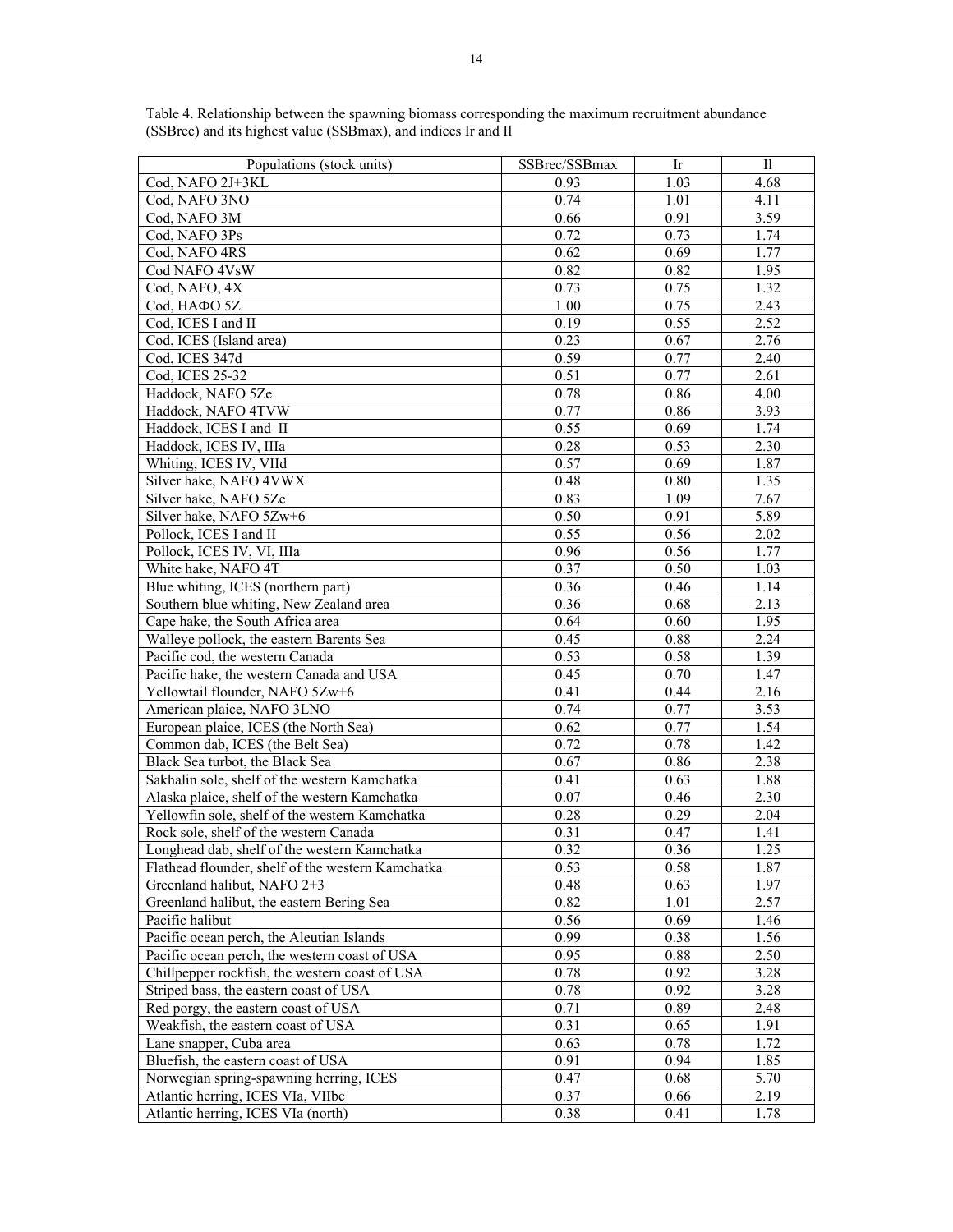| Populations (stock units)                                                                       | SSBrec/SSBmax | Ir   | $\mathbf{I}$ |
|-------------------------------------------------------------------------------------------------|---------------|------|--------------|
| Cod, NAFO 2J+3KL                                                                                | 0.93          | 1.03 | 4.68         |
| Cod, NAFO 3NO                                                                                   | 0.74          | 1.01 | 4.11         |
| Cod, NAFO 3M                                                                                    | 0.66          | 0.91 | 3.59         |
| Cod, NAFO 3Ps                                                                                   | 0.72          | 0.73 | 1.74         |
| Cod, NAFO 4RS                                                                                   | 0.62          | 0.69 | 1.77         |
| Cod NAFO 4VsW                                                                                   | 0.82          | 0.82 | 1.95         |
| Cod, NAFO, 4X                                                                                   | 0.73          | 0.75 | 1.32         |
| Cod, HAΦO 5Z                                                                                    | 1.00          | 0.75 | 2.43         |
| Cod, ICES I and II                                                                              | 0.19          | 0.55 | 2.52         |
| Cod, ICES (Island area)                                                                         | 0.23          | 0.67 | 2.76         |
| Cod, ICES 347d                                                                                  | 0.59          | 0.77 | 2.40         |
| Cod. ICES 25-32                                                                                 | 0.51          | 0.77 | 2.61         |
| Haddock, NAFO 5Ze                                                                               | 0.78          | 0.86 | 4.00         |
| Haddock, NAFO 4TVW                                                                              | 0.77          | 0.86 | 3.93         |
| Haddock, ICES I and II                                                                          | 0.55          | 0.69 | 1.74         |
| Haddock, ICES IV, IIIa                                                                          | 0.28          | 0.53 | 2.30         |
| Whiting, ICES IV, VIId                                                                          | 0.57          | 0.69 | 1.87         |
| Silver hake, NAFO 4VWX                                                                          | 0.48          | 0.80 | 1.35         |
| Silver hake, NAFO 5Ze                                                                           | 0.83          | 1.09 | 7.67         |
| Silver hake, NAFO 5Zw+6                                                                         | 0.50          | 0.91 | 5.89         |
| Pollock, ICES I and II                                                                          | 0.55          | 0.56 | 2.02         |
| Pollock, ICES IV, VI, IIIa                                                                      | 0.96          | 0.56 | 1.77         |
| White hake, NAFO 4T                                                                             | 0.37          | 0.50 | 1.03         |
| Blue whiting, ICES (northern part)                                                              | 0.36          | 0.46 | 1.14         |
| Southern blue whiting, New Zealand area                                                         | 0.36          | 0.68 | 2.13         |
| Cape hake, the South Africa area                                                                | 0.64          | 0.60 | 1.95         |
| Walleye pollock, the eastern Barents Sea                                                        | 0.45          | 0.88 | 2.24         |
| Pacific cod, the western Canada                                                                 | 0.53          | 0.58 | 1.39         |
| Pacific hake, the western Canada and USA                                                        | 0.45          | 0.70 | 1.47         |
| Yellowtail flounder, NAFO 5Zw+6                                                                 | 0.41          | 0.44 | 2.16         |
| American plaice, NAFO 3LNO                                                                      | 0.74          | 0.77 | 3.53         |
| European plaice, ICES (the North Sea)                                                           | 0.62          | 0.77 | 1.54         |
| Common dab, ICES (the Belt Sea)                                                                 | 0.72          | 0.78 | 1.42         |
| Black Sea turbot, the Black Sea                                                                 | 0.67          | 0.86 | 2.38         |
| Sakhalin sole, shelf of the western Kamchatka                                                   | 0.41          | 0.63 | 1.88         |
|                                                                                                 | 0.07          | 0.46 | 2.30         |
| Alaska plaice, shelf of the western Kamchatka<br>Yellowfin sole, shelf of the western Kamchatka | 0.28          | 0.29 | 2.04         |
| Rock sole, shelf of the western Canada                                                          |               |      |              |
|                                                                                                 | 0.31          | 0.47 | 1.41         |
| Longhead dab, shelf of the western Kamchatka                                                    | 0.32          | 0.36 | 1.25         |
| Flathead flounder, shelf of the western Kamchatka                                               | 0.53          | 0.58 | 1.87         |
| Greenland halibut, NAFO 2+3                                                                     | 0.48<br>0.82  | 0.63 | 1.97         |
| Greenland halibut, the eastern Bering Sea                                                       |               | 1.01 | 2.57         |
| Pacific halibut                                                                                 | 0.56          | 0.69 | 1.46         |
| Pacific ocean perch, the Aleutian Islands                                                       | 0.99          | 0.38 | 1.56         |
| Pacific ocean perch, the western coast of USA                                                   | 0.95          | 0.88 | 2.50         |
| Chillpepper rockfish, the western coast of USA                                                  | 0.78          | 0.92 | 3.28         |
| Striped bass, the eastern coast of USA                                                          | 0.78          | 0.92 | 3.28         |
| Red porgy, the eastern coast of USA                                                             | 0.71          | 0.89 | 2.48         |
| Weakfish, the eastern coast of USA                                                              | 0.31          | 0.65 | 1.91         |
| Lane snapper, Cuba area                                                                         | 0.63          | 0.78 | 1.72         |
| Bluefish, the eastern coast of USA                                                              | 0.91          | 0.94 | 1.85         |
| Norwegian spring-spawning herring, ICES                                                         | 0.47          | 0.68 | 5.70         |
| Atlantic herring, ICES VIa, VIIbc                                                               | 0.37          | 0.66 | 2.19         |
| Atlantic herring, ICES VIa (north)                                                              | 0.38          | 0.41 | 1.78         |

Table 4. Relationship between the spawning biomass corresponding the maximum recruitment abundance (SSBrec) and its highest value (SSBmax), and indices Ir and Il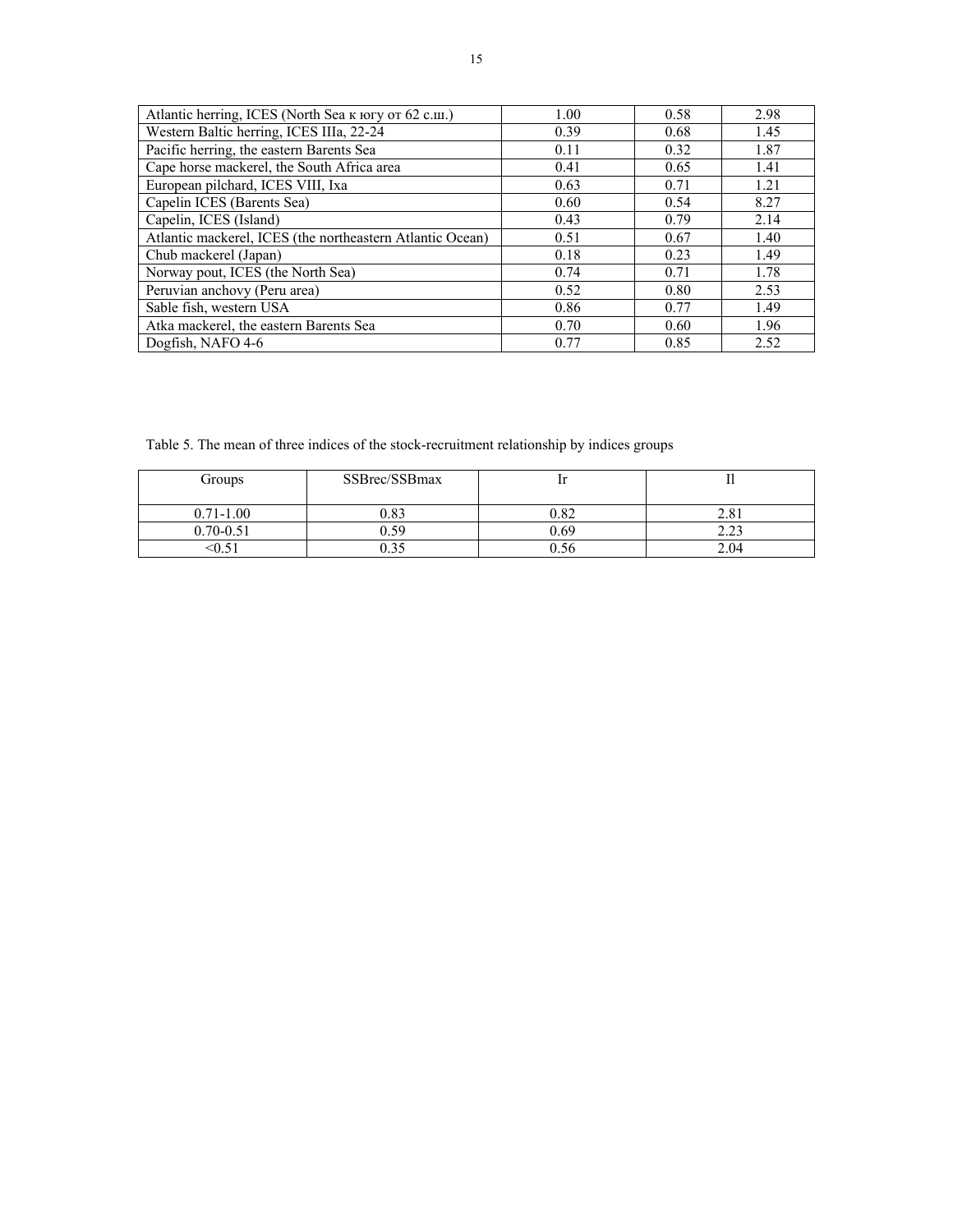| Atlantic herring, ICES (North Sea K HOTY OT 62 c.m.)      | 1.00 | 0.58 | 2.98 |
|-----------------------------------------------------------|------|------|------|
| Western Baltic herring, ICES IIIa, 22-24                  | 0.39 | 0.68 | 1.45 |
| Pacific herring, the eastern Barents Sea                  | 0.11 | 0.32 | 1.87 |
| Cape horse mackerel, the South Africa area                | 0.41 | 0.65 | 1.41 |
| European pilchard, ICES VIII, Ixa                         | 0.63 | 0.71 | 1.21 |
| Capelin ICES (Barents Sea)                                | 0.60 | 0.54 | 8.27 |
| Capelin, ICES (Island)                                    | 0.43 | 0.79 | 2.14 |
| Atlantic mackerel, ICES (the northeastern Atlantic Ocean) | 0.51 | 0.67 | 1.40 |
| Chub mackerel (Japan)                                     | 0.18 | 0.23 | 1.49 |
| Norway pout, ICES (the North Sea)                         | 0.74 | 0.71 | 1.78 |
| Peruvian anchovy (Peru area)                              | 0.52 | 0.80 | 2.53 |
| Sable fish, western USA                                   | 0.86 | 0.77 | 1.49 |
| Atka mackerel, the eastern Barents Sea                    | 0.70 | 0.60 | 1.96 |
| Dogfish, NAFO 4-6                                         | 0.77 | 0.85 | 2.52 |

Table 5. The mean of three indices of the stock-recruitment relationship by indices groups

| Groups        | SSBrec/SSBmax |      |               |
|---------------|---------------|------|---------------|
| $0.71 - 1.00$ | 0.83          | 0.82 |               |
| $0.70 - 0.51$ | 0.59          | 0.69 | $\cap$<br>ر گ |
|               | ).35          |      | 2.04          |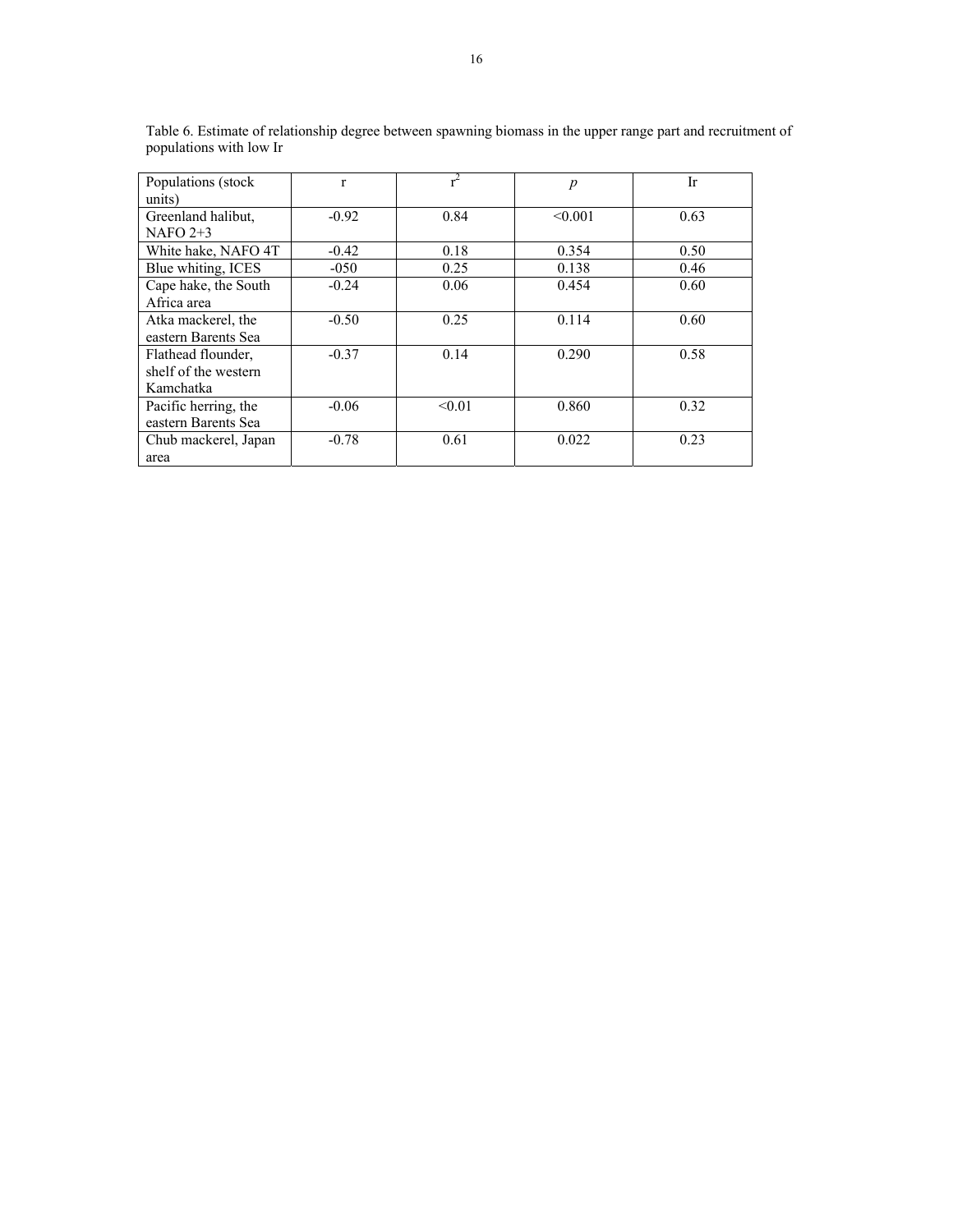| Populations (stock   | $\mathbf{r}$ |        | $\boldsymbol{p}$ | Ir   |
|----------------------|--------------|--------|------------------|------|
| units)               |              |        |                  |      |
| Greenland halibut,   | $-0.92$      | 0.84   | < 0.001          | 0.63 |
| NAFO $2+3$           |              |        |                  |      |
| White hake, NAFO 4T  | $-0.42$      | 0.18   | 0.354            | 0.50 |
| Blue whiting, ICES   | $-050$       | 0.25   | 0.138            | 0.46 |
| Cape hake, the South | $-0.24$      | 0.06   | 0.454            | 0.60 |
| Africa area          |              |        |                  |      |
| Atka mackerel, the   | $-0.50$      | 0.25   | 0.114            | 0.60 |
| eastern Barents Sea  |              |        |                  |      |
| Flathead flounder,   | $-0.37$      | 0.14   | 0.290            | 0.58 |
| shelf of the western |              |        |                  |      |
| Kamchatka            |              |        |                  |      |
| Pacific herring, the | $-0.06$      | < 0.01 | 0.860            | 0.32 |
| eastern Barents Sea  |              |        |                  |      |
| Chub mackerel, Japan | $-0.78$      | 0.61   | 0.022            | 0.23 |
| area                 |              |        |                  |      |

Table 6. Estimate of relationship degree between spawning biomass in the upper range part and recruitment of populations with low Ir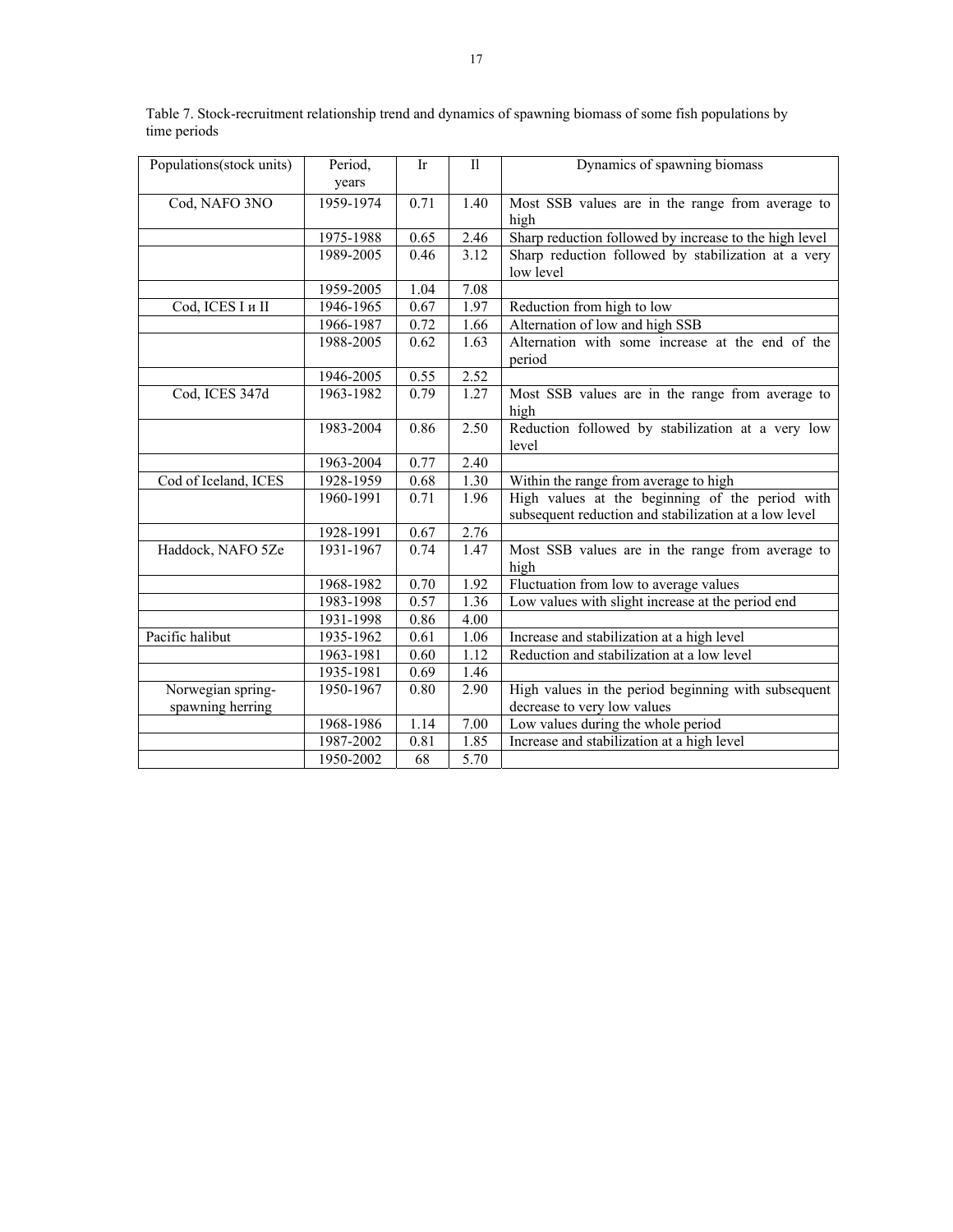| Populations (stock units) | Period,   | Ir   | $\mathbf{I}$ | Dynamics of spawning biomass                           |
|---------------------------|-----------|------|--------------|--------------------------------------------------------|
|                           | years     |      |              |                                                        |
| Cod, NAFO 3NO             | 1959-1974 | 0.71 | 1.40         | Most SSB values are in the range from average to       |
|                           |           |      |              | high                                                   |
|                           | 1975-1988 | 0.65 | 2.46         | Sharp reduction followed by increase to the high level |
|                           | 1989-2005 | 0.46 | 3.12         | Sharp reduction followed by stabilization at a very    |
|                           |           |      |              | low level                                              |
|                           | 1959-2005 | 1.04 | 7.08         |                                                        |
| Cod, ICES I и II          | 1946-1965 | 0.67 | 1.97         | Reduction from high to low                             |
|                           | 1966-1987 | 0.72 | 1.66         | Alternation of low and high SSB                        |
|                           | 1988-2005 | 0.62 | 1.63         | Alternation with some increase at the end of the       |
|                           |           |      |              | period                                                 |
|                           | 1946-2005 | 0.55 | 2.52         |                                                        |
| Cod, ICES 347d            | 1963-1982 | 0.79 | 1.27         | Most SSB values are in the range from average to       |
|                           |           |      |              | high                                                   |
|                           | 1983-2004 | 0.86 | 2.50         | Reduction followed by stabilization at a very low      |
|                           |           |      |              | level                                                  |
|                           | 1963-2004 | 0.77 | 2.40         |                                                        |
| Cod of Iceland, ICES      | 1928-1959 | 0.68 | 1.30         | Within the range from average to high                  |
|                           | 1960-1991 | 0.71 | 1.96         | High values at the beginning of the period with        |
|                           |           |      |              | subsequent reduction and stabilization at a low level  |
|                           | 1928-1991 | 0.67 | 2.76         |                                                        |
| Haddock, NAFO 5Ze         | 1931-1967 | 0.74 | 1.47         | Most SSB values are in the range from average to       |
|                           |           |      |              | high                                                   |
|                           | 1968-1982 | 0.70 | 1.92         | Fluctuation from low to average values                 |
|                           | 1983-1998 | 0.57 | 1.36         | Low values with slight increase at the period end      |
|                           | 1931-1998 | 0.86 | 4.00         |                                                        |
| Pacific halibut           | 1935-1962 | 0.61 | 1.06         | Increase and stabilization at a high level             |
|                           | 1963-1981 | 0.60 | 1.12         | Reduction and stabilization at a low level             |
|                           | 1935-1981 | 0.69 | 1.46         |                                                        |
| Norwegian spring-         | 1950-1967 | 0.80 | 2.90         | High values in the period beginning with subsequent    |
| spawning herring          |           |      |              | decrease to very low values                            |
|                           | 1968-1986 | 1.14 | 7.00         | Low values during the whole period                     |
|                           | 1987-2002 | 0.81 | 1.85         | Increase and stabilization at a high level             |
|                           | 1950-2002 | 68   | 5.70         |                                                        |

Table 7. Stock-recruitment relationship trend and dynamics of spawning biomass of some fish populations by time periods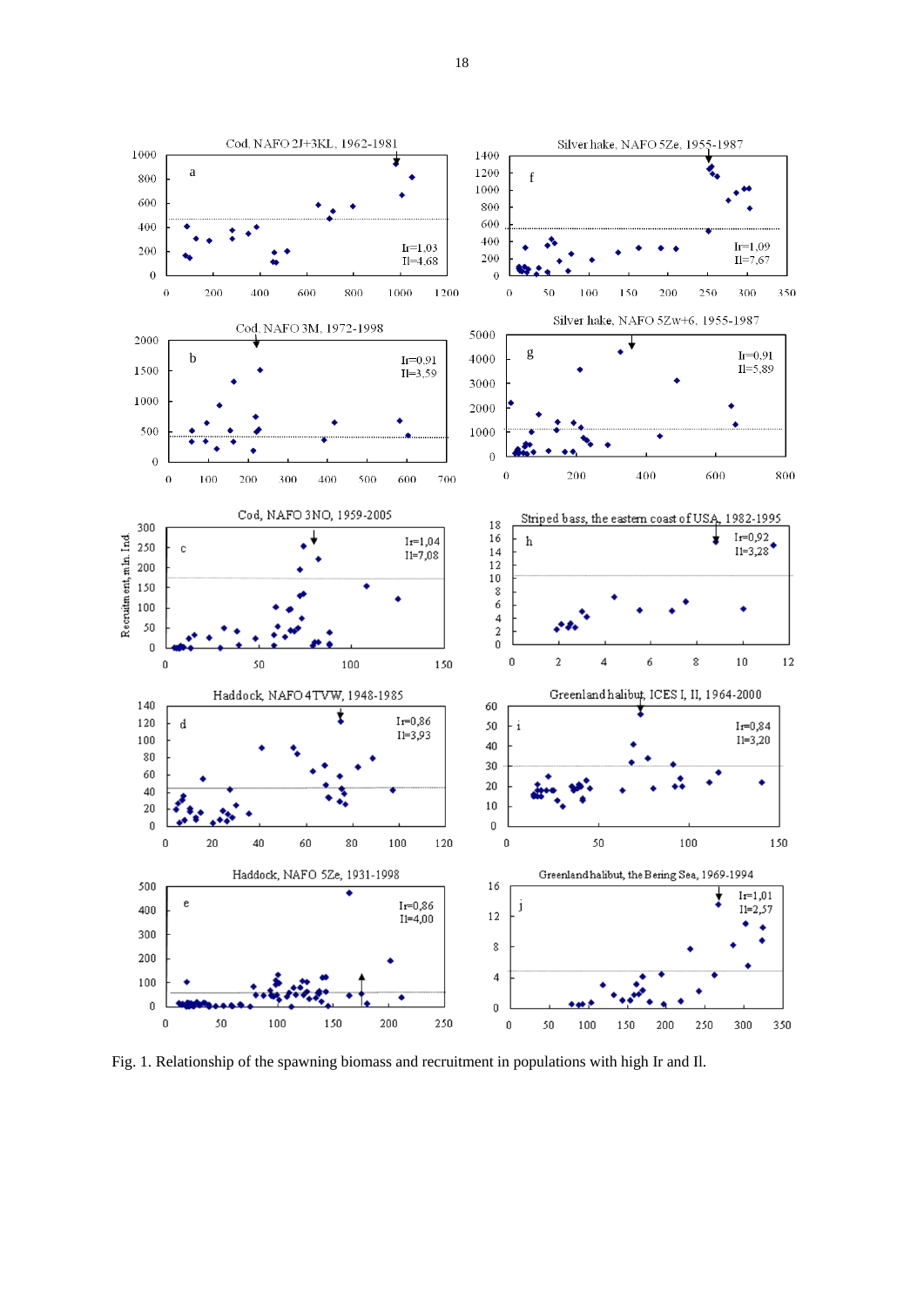

Fig. 1. Relationship of the spawning biomass and recruitment in populations with high Ir and Il.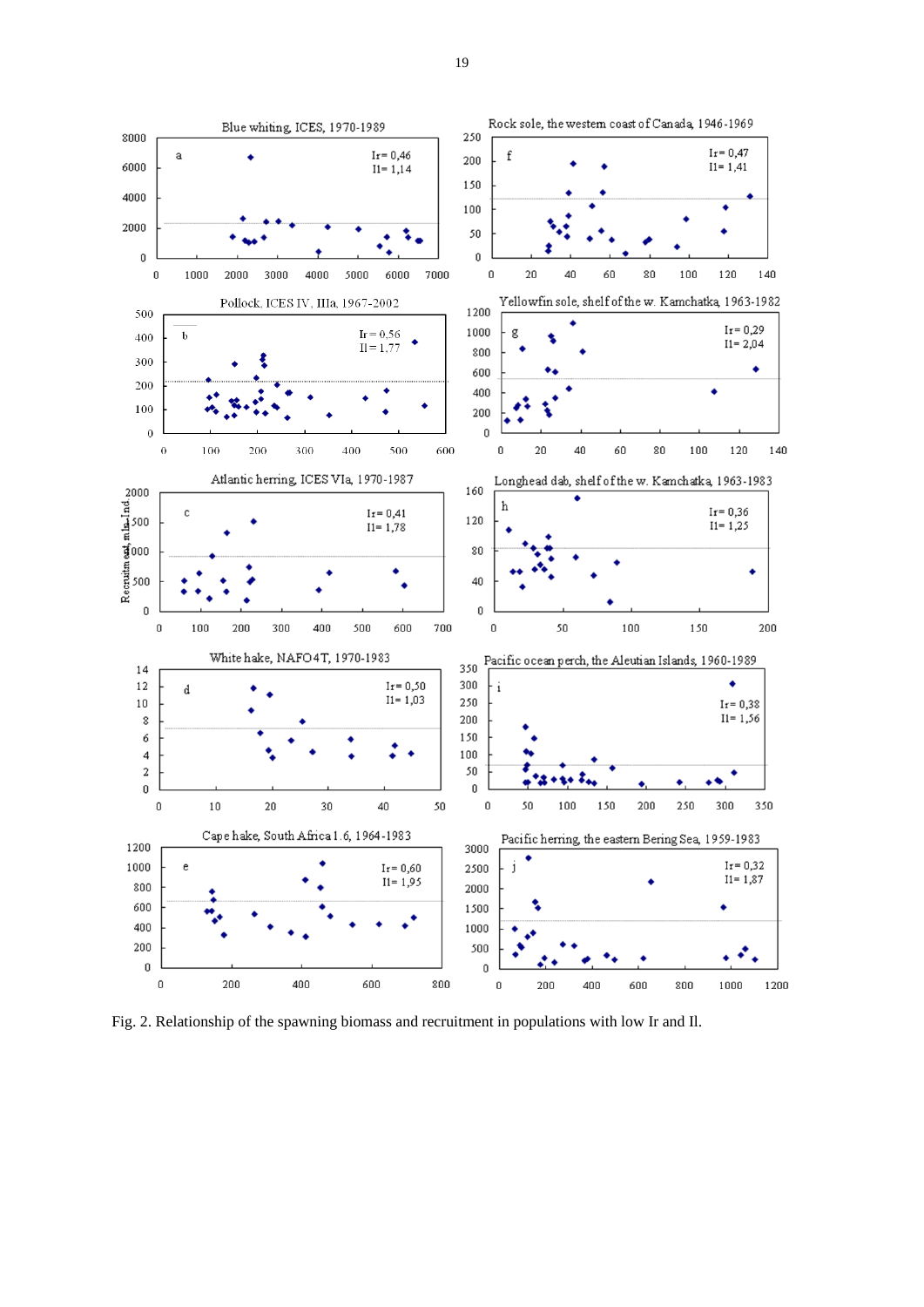

Fig. 2. Relationship of the spawning biomass and recruitment in populations with low Ir and Il.